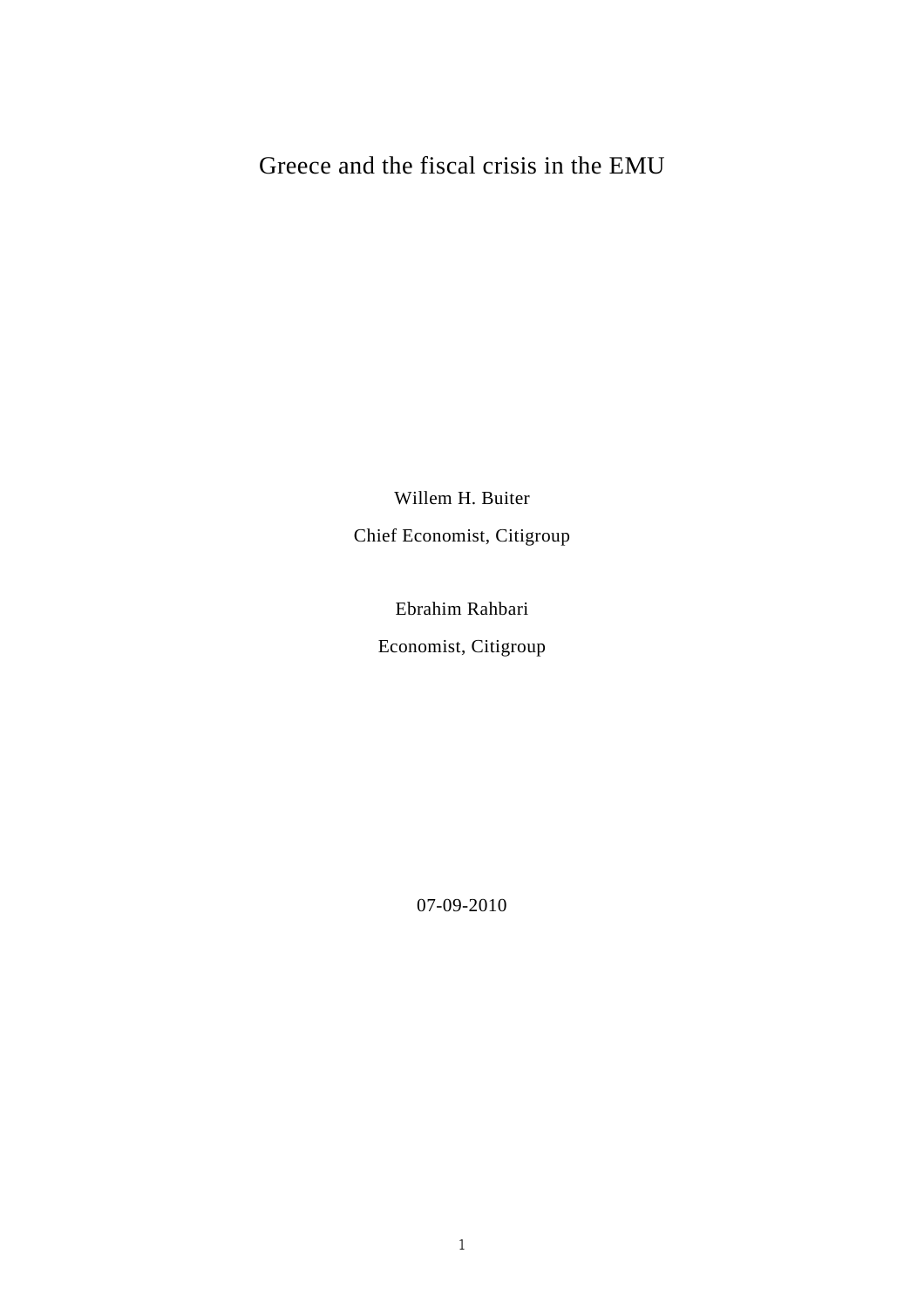# Greece and the fiscal crisis in the EMU

Willem H. Buiter Chief Economist, Citigroup

Ebrahim Rahbari

Economist, Citigroup

07-09-2010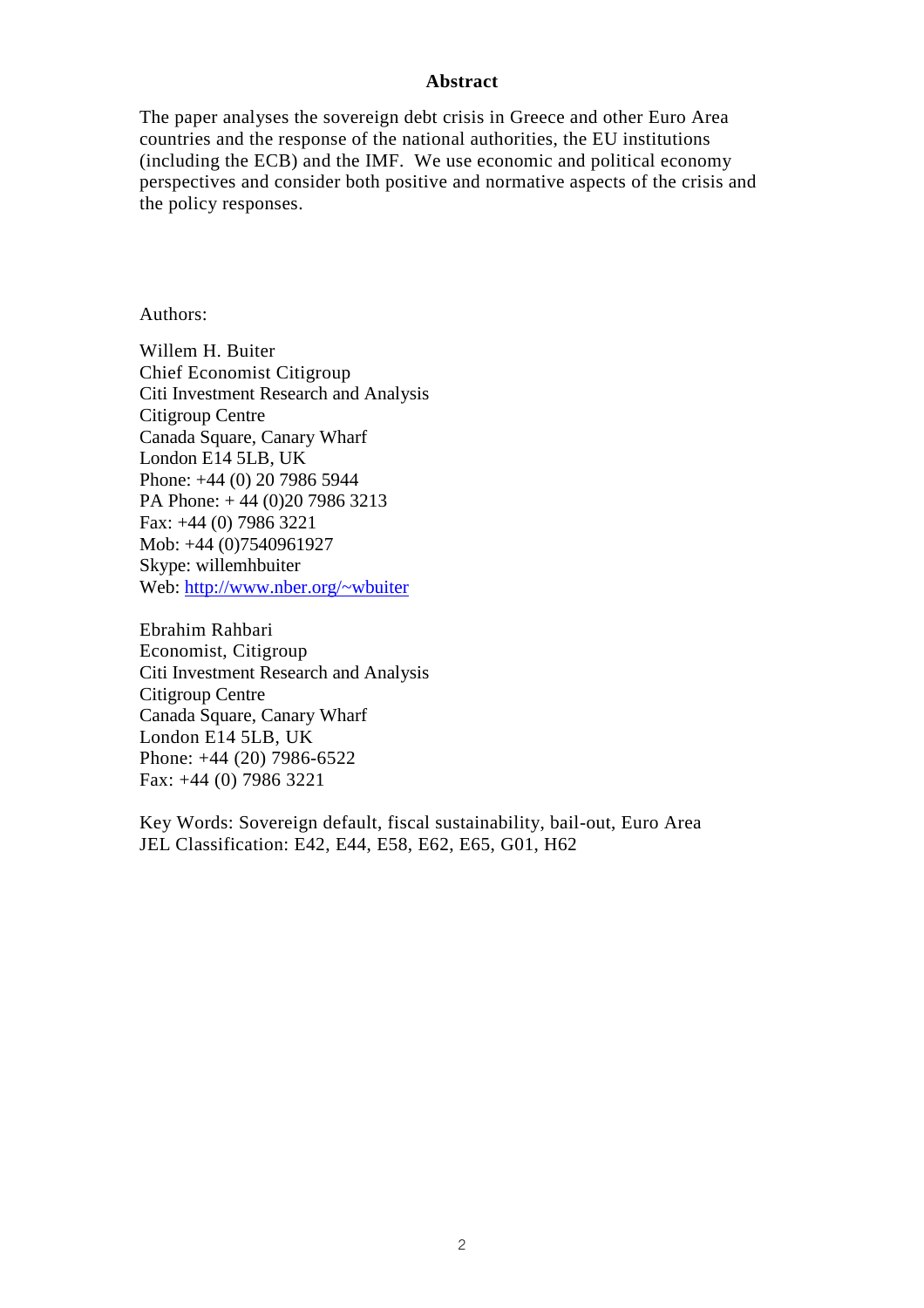#### **Abstract**

The paper analyses the sovereign debt crisis in Greece and other Euro Area countries and the response of the national authorities, the EU institutions (including the ECB) and the IMF. We use economic and political economy perspectives and consider both positive and normative aspects of the crisis and the policy responses.

Authors:

Willem H. Buiter Chief Economist Citigroup Citi Investment Research and Analysis Citigroup Centre Canada Square, Canary Wharf London E14 5LB, UK Phone: +44 (0) 20 7986 5944 PA Phone: + 44 (0)20 7986 3213 Fax: +44 (0) 7986 3221 Mob: +44 (0)7540961927 Skype: willemhbuiter Web: http://www.nber.org/~wbuiter

Ebrahim Rahbari Economist, Citigroup Citi Investment Research and Analysis Citigroup Centre Canada Square, Canary Wharf London E14 5LB, UK Phone: +44 (20) 7986-6522 Fax: +44 (0) 7986 3221

Key Words: Sovereign default, fiscal sustainability, bail-out, Euro Area JEL Classification: E42, E44, E58, E62, E65, G01, H62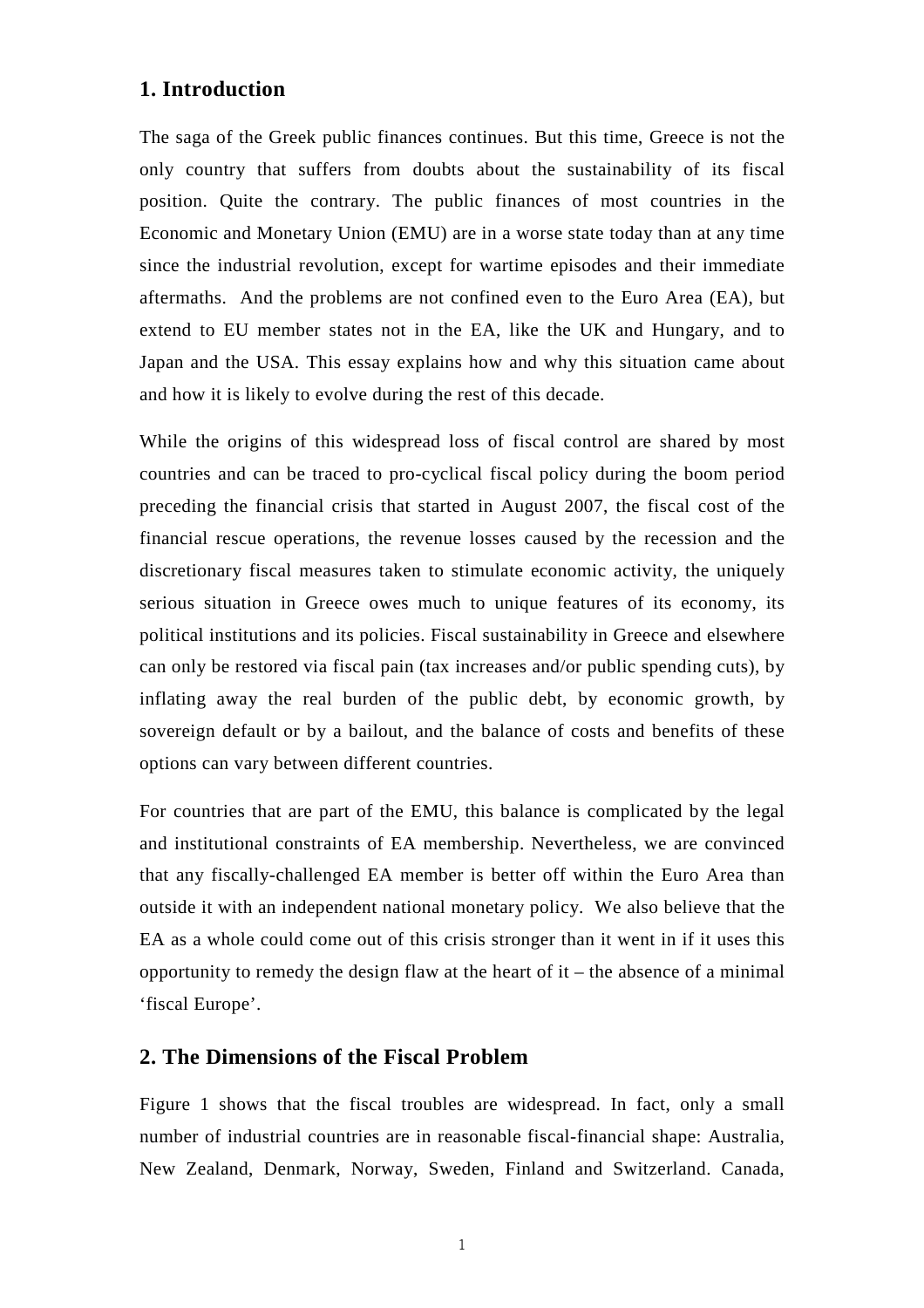## **1. Introduction**

The saga of the Greek public finances continues. But this time, Greece is not the only country that suffers from doubts about the sustainability of its fiscal position. Quite the contrary. The public finances of most countries in the Economic and Monetary Union (EMU) are in a worse state today than at any time since the industrial revolution, except for wartime episodes and their immediate aftermaths. And the problems are not confined even to the Euro Area (EA), but extend to EU member states not in the EA, like the UK and Hungary, and to Japan and the USA. This essay explains how and why this situation came about and how it is likely to evolve during the rest of this decade.

While the origins of this widespread loss of fiscal control are shared by most countries and can be traced to pro-cyclical fiscal policy during the boom period preceding the financial crisis that started in August 2007, the fiscal cost of the financial rescue operations, the revenue losses caused by the recession and the discretionary fiscal measures taken to stimulate economic activity, the uniquely serious situation in Greece owes much to unique features of its economy, its political institutions and its policies. Fiscal sustainability in Greece and elsewhere can only be restored via fiscal pain (tax increases and/or public spending cuts), by inflating away the real burden of the public debt, by economic growth, by sovereign default or by a bailout, and the balance of costs and benefits of these options can vary between different countries.

For countries that are part of the EMU, this balance is complicated by the legal and institutional constraints of EA membership. Nevertheless, we are convinced that any fiscally-challenged EA member is better off within the Euro Area than outside it with an independent national monetary policy. We also believe that the EA as a whole could come out of this crisis stronger than it went in if it uses this opportunity to remedy the design flaw at the heart of it – the absence of a minimal 'fiscal Europe'.

## **2. The Dimensions of the Fiscal Problem**

Figure 1 shows that the fiscal troubles are widespread. In fact, only a small number of industrial countries are in reasonable fiscal-financial shape: Australia, New Zealand, Denmark, Norway, Sweden, Finland and Switzerland. Canada,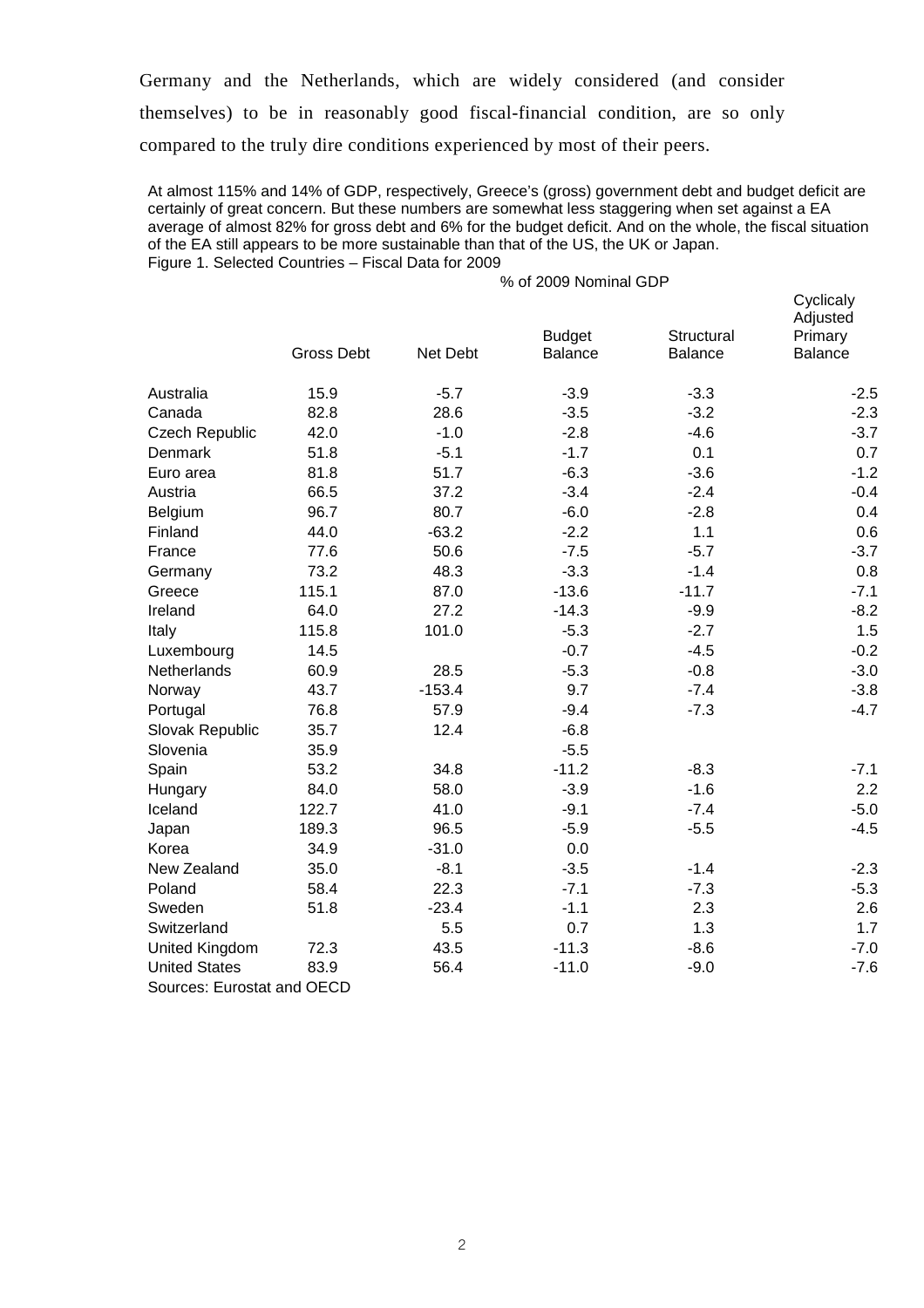Germany and the Netherlands, which are widely considered (and consider themselves) to be in reasonably good fiscal-financial condition, are so only compared to the truly dire conditions experienced by most of their peers.

At almost 115% and 14% of GDP, respectively, Greece's (gross) government debt and budget deficit are certainly of great concern. But these numbers are somewhat less staggering when set against a EA average of almost 82% for gross debt and 6% for the budget deficit. And on the whole, the fiscal situation of the EA still appears to be more sustainable than that of the US, the UK or Japan. Figure 1. Selected Countries – Fiscal Data for 2009

|                            | % of 2009 Nominal GDP |          |                          |                              |                                             |  |
|----------------------------|-----------------------|----------|--------------------------|------------------------------|---------------------------------------------|--|
|                            | <b>Gross Debt</b>     | Net Debt | <b>Budget</b><br>Balance | Structural<br><b>Balance</b> | Cyclicaly<br>Adjusted<br>Primary<br>Balance |  |
|                            |                       |          |                          |                              |                                             |  |
| Australia                  | 15.9                  | $-5.7$   | $-3.9$                   | $-3.3$                       | $-2.5$                                      |  |
| Canada                     | 82.8                  | 28.6     | $-3.5$                   | $-3.2$                       | $-2.3$                                      |  |
| <b>Czech Republic</b>      | 42.0                  | $-1.0$   | $-2.8$                   | $-4.6$                       | $-3.7$                                      |  |
| Denmark                    | 51.8                  | $-5.1$   | $-1.7$                   | 0.1                          | 0.7                                         |  |
| Euro area                  | 81.8                  | 51.7     | $-6.3$                   | $-3.6$                       | $-1.2$                                      |  |
| Austria                    | 66.5                  | 37.2     | $-3.4$                   | $-2.4$                       | $-0.4$                                      |  |
| Belgium                    | 96.7                  | 80.7     | $-6.0$                   | $-2.8$                       | 0.4                                         |  |
| Finland                    | 44.0                  | $-63.2$  | $-2.2$                   | 1.1                          | 0.6                                         |  |
| France                     | 77.6                  | 50.6     | $-7.5$                   | $-5.7$                       | $-3.7$                                      |  |
| Germany                    | 73.2                  | 48.3     | $-3.3$                   | $-1.4$                       | 0.8                                         |  |
| Greece                     | 115.1                 | 87.0     | $-13.6$                  | $-11.7$                      | $-7.1$                                      |  |
| Ireland                    | 64.0                  | 27.2     | $-14.3$                  | $-9.9$                       | $-8.2$                                      |  |
| Italy                      | 115.8                 | 101.0    | $-5.3$                   | $-2.7$                       | 1.5                                         |  |
| Luxembourg                 | 14.5                  |          | $-0.7$                   | $-4.5$                       | $-0.2$                                      |  |
| Netherlands                | 60.9                  | 28.5     | $-5.3$                   | $-0.8$                       | $-3.0$                                      |  |
| Norway                     | 43.7                  | $-153.4$ | 9.7                      | $-7.4$                       | $-3.8$                                      |  |
| Portugal                   | 76.8                  | 57.9     | $-9.4$                   | $-7.3$                       | $-4.7$                                      |  |
| Slovak Republic            | 35.7                  | 12.4     | $-6.8$                   |                              |                                             |  |
| Slovenia                   | 35.9                  |          | $-5.5$                   |                              |                                             |  |
| Spain                      | 53.2                  | 34.8     | $-11.2$                  | $-8.3$                       | $-7.1$                                      |  |
| Hungary                    | 84.0                  | 58.0     | $-3.9$                   | $-1.6$                       | 2.2                                         |  |
| Iceland                    | 122.7                 | 41.0     | $-9.1$                   | $-7.4$                       | $-5.0$                                      |  |
| Japan                      | 189.3                 | 96.5     | $-5.9$                   | $-5.5$                       | $-4.5$                                      |  |
| Korea                      | 34.9                  | $-31.0$  | 0.0                      |                              |                                             |  |
| New Zealand                | 35.0                  | $-8.1$   | $-3.5$                   | $-1.4$                       | $-2.3$                                      |  |
| Poland                     | 58.4                  | 22.3     | $-7.1$                   | $-7.3$                       | $-5.3$                                      |  |
| Sweden                     | 51.8                  | $-23.4$  | $-1.1$                   | 2.3                          | 2.6                                         |  |
| Switzerland                |                       | 5.5      | 0.7                      | 1.3                          | 1.7                                         |  |
| United Kingdom             | 72.3                  | 43.5     | $-11.3$                  | $-8.6$                       | $-7.0$                                      |  |
| <b>United States</b>       | 83.9                  | 56.4     | $-11.0$                  | $-9.0$                       | $-7.6$                                      |  |
| Sources: Eurostat and OECD |                       |          |                          |                              |                                             |  |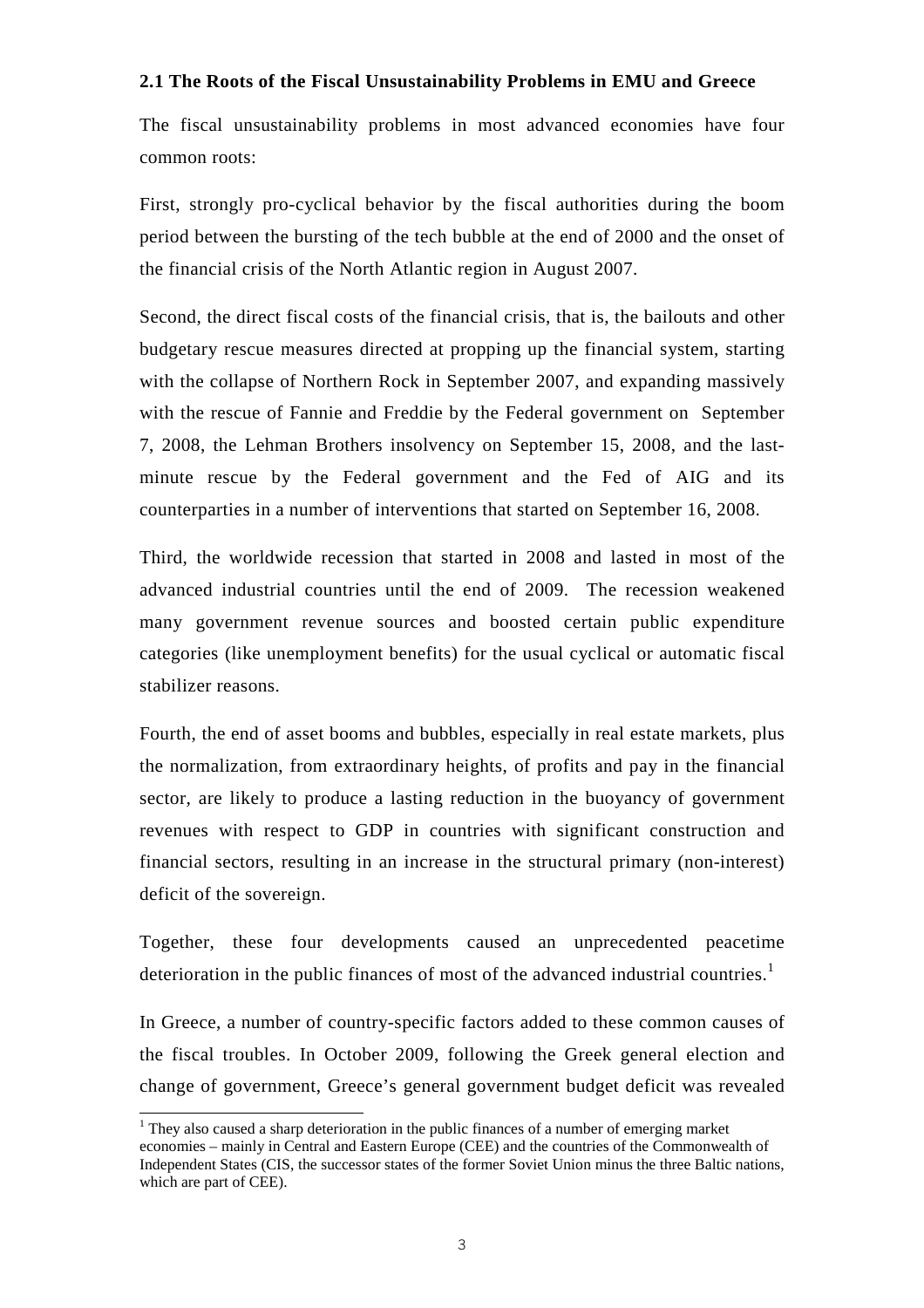#### **2.1 The Roots of the Fiscal Unsustainability Problems in EMU and Greece**

The fiscal unsustainability problems in most advanced economies have four common roots:

First, strongly pro-cyclical behavior by the fiscal authorities during the boom period between the bursting of the tech bubble at the end of 2000 and the onset of the financial crisis of the North Atlantic region in August 2007.

Second, the direct fiscal costs of the financial crisis, that is, the bailouts and other budgetary rescue measures directed at propping up the financial system, starting with the collapse of Northern Rock in September 2007, and expanding massively with the rescue of Fannie and Freddie by the Federal government on September 7, 2008, the Lehman Brothers insolvency on September 15, 2008, and the lastminute rescue by the Federal government and the Fed of AIG and its counterparties in a number of interventions that started on September 16, 2008.

Third, the worldwide recession that started in 2008 and lasted in most of the advanced industrial countries until the end of 2009. The recession weakened many government revenue sources and boosted certain public expenditure categories (like unemployment benefits) for the usual cyclical or automatic fiscal stabilizer reasons.

Fourth, the end of asset booms and bubbles, especially in real estate markets, plus the normalization, from extraordinary heights, of profits and pay in the financial sector, are likely to produce a lasting reduction in the buoyancy of government revenues with respect to GDP in countries with significant construction and financial sectors, resulting in an increase in the structural primary (non-interest) deficit of the sovereign.

Together, these four developments caused an unprecedented peacetime deterioration in the public finances of most of the advanced industrial countries.<sup>1</sup>

In Greece, a number of country-specific factors added to these common causes of the fiscal troubles. In October 2009, following the Greek general election and change of government, Greece's general government budget deficit was revealed

l

 $<sup>1</sup>$  They also caused a sharp deterioration in the public finances of a number of emerging market</sup> economies – mainly in Central and Eastern Europe (CEE) and the countries of the Commonwealth of Independent States (CIS, the successor states of the former Soviet Union minus the three Baltic nations, which are part of CEE).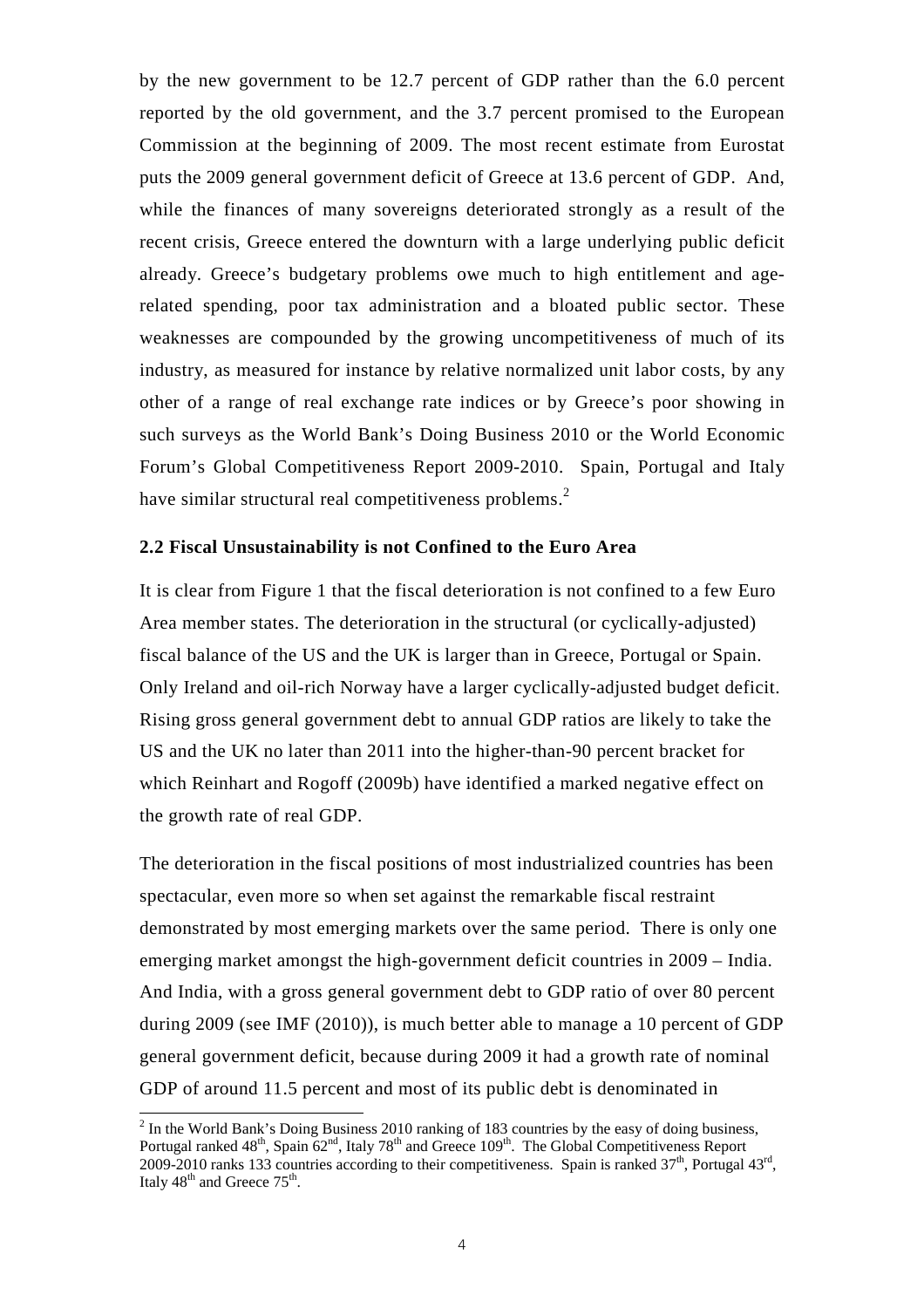by the new government to be 12.7 percent of GDP rather than the 6.0 percent reported by the old government, and the 3.7 percent promised to the European Commission at the beginning of 2009. The most recent estimate from Eurostat puts the 2009 general government deficit of Greece at 13.6 percent of GDP. And, while the finances of many sovereigns deteriorated strongly as a result of the recent crisis, Greece entered the downturn with a large underlying public deficit already. Greece's budgetary problems owe much to high entitlement and agerelated spending, poor tax administration and a bloated public sector. These weaknesses are compounded by the growing uncompetitiveness of much of its industry, as measured for instance by relative normalized unit labor costs, by any other of a range of real exchange rate indices or by Greece's poor showing in such surveys as the World Bank's Doing Business 2010 or the World Economic Forum's Global Competitiveness Report 2009-2010. Spain, Portugal and Italy have similar structural real competitiveness problems.<sup>2</sup>

#### **2.2 Fiscal Unsustainability is not Confined to the Euro Area**

It is clear from Figure 1 that the fiscal deterioration is not confined to a few Euro Area member states. The deterioration in the structural (or cyclically-adjusted) fiscal balance of the US and the UK is larger than in Greece, Portugal or Spain. Only Ireland and oil-rich Norway have a larger cyclically-adjusted budget deficit. Rising gross general government debt to annual GDP ratios are likely to take the US and the UK no later than 2011 into the higher-than-90 percent bracket for which Reinhart and Rogoff (2009b) have identified a marked negative effect on the growth rate of real GDP.

The deterioration in the fiscal positions of most industrialized countries has been spectacular, even more so when set against the remarkable fiscal restraint demonstrated by most emerging markets over the same period. There is only one emerging market amongst the high-government deficit countries in 2009 – India. And India, with a gross general government debt to GDP ratio of over 80 percent during 2009 (see IMF (2010)), is much better able to manage a 10 percent of GDP general government deficit, because during 2009 it had a growth rate of nominal GDP of around 11.5 percent and most of its public debt is denominated in

l

 $2$  In the World Bank's Doing Business 2010 ranking of 183 countries by the easy of doing business, Portugal ranked  $48<sup>th</sup>$ , Spain  $62<sup>nd</sup>$ , Italy  $78<sup>th</sup>$  and Greece  $109<sup>th</sup>$ . The Global Competitiveness Report 2009-2010 ranks 133 countries according to their competitiveness. Spain is ranked  $37<sup>th</sup>$ , Portugal  $43<sup>rd</sup>$ , Italy  $48<sup>th</sup>$  and Greece  $75<sup>th</sup>$ .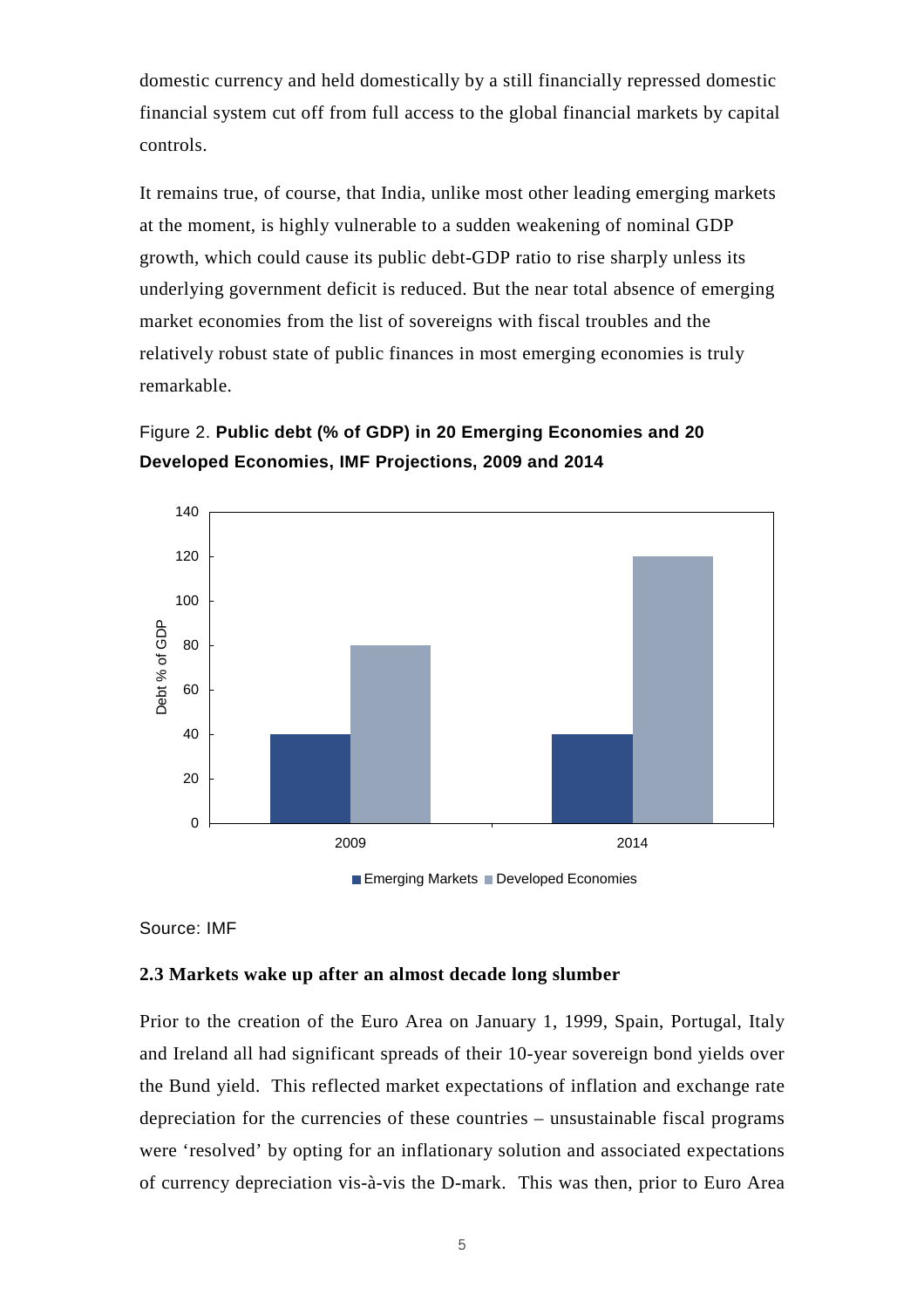domestic currency and held domestically by a still financially repressed domestic financial system cut off from full access to the global financial markets by capital controls.

It remains true, of course, that India, unlike most other leading emerging markets at the moment, is highly vulnerable to a sudden weakening of nominal GDP growth, which could cause its public debt-GDP ratio to rise sharply unless its underlying government deficit is reduced. But the near total absence of emerging market economies from the list of sovereigns with fiscal troubles and the relatively robust state of public finances in most emerging economies is truly remarkable.





Source: IMF

#### **2.3 Markets wake up after an almost decade long slumber**

Prior to the creation of the Euro Area on January 1, 1999, Spain, Portugal, Italy and Ireland all had significant spreads of their 10-year sovereign bond yields over the Bund yield. This reflected market expectations of inflation and exchange rate depreciation for the currencies of these countries – unsustainable fiscal programs were 'resolved' by opting for an inflationary solution and associated expectations of currency depreciation vis-à-vis the D-mark. This was then, prior to Euro Area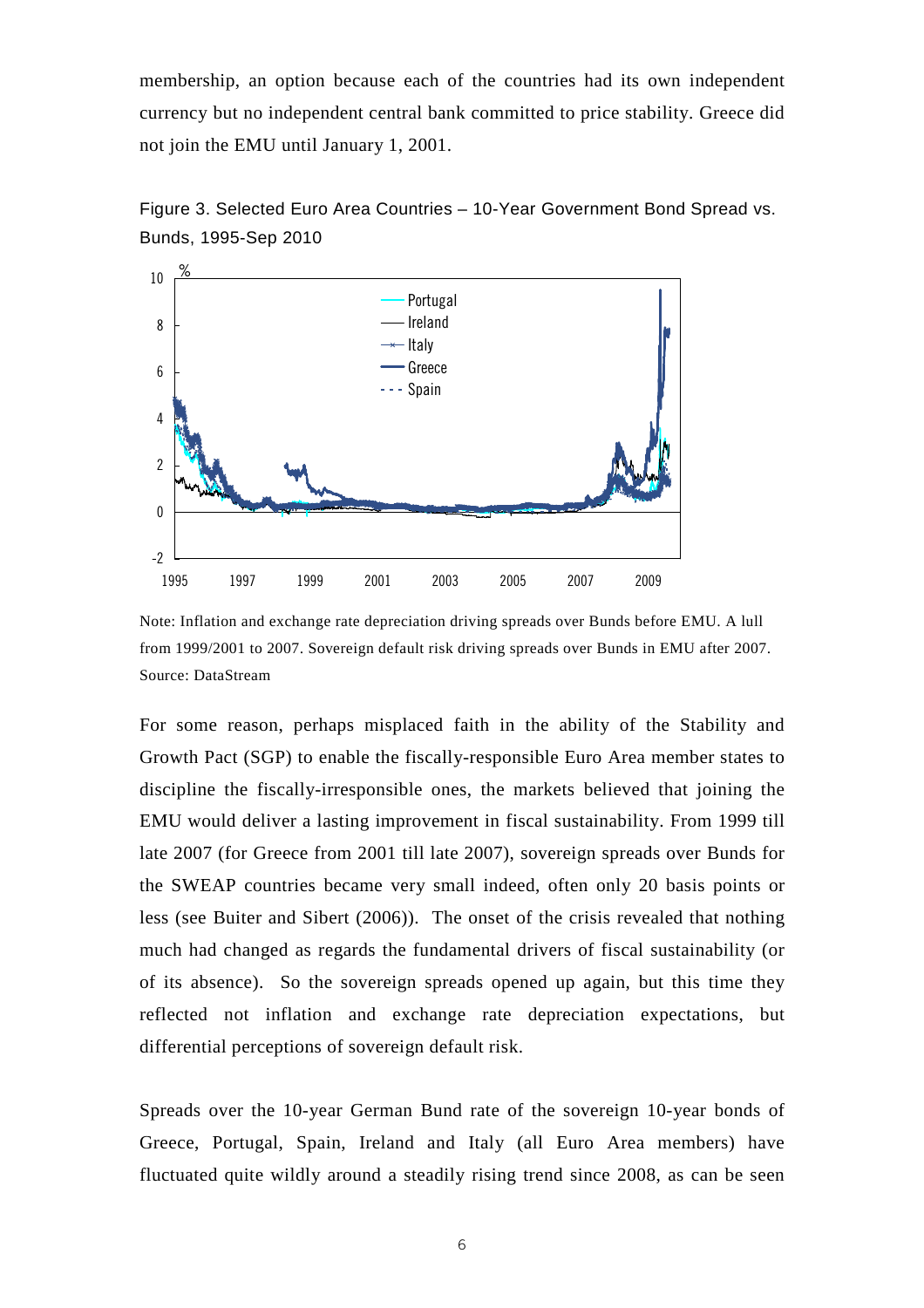membership, an option because each of the countries had its own independent currency but no independent central bank committed to price stability. Greece did not join the EMU until January 1, 2001.





Note: Inflation and exchange rate depreciation driving spreads over Bunds before EMU. A lull from 1999/2001 to 2007. Sovereign default risk driving spreads over Bunds in EMU after 2007. Source: DataStream

For some reason, perhaps misplaced faith in the ability of the Stability and Growth Pact (SGP) to enable the fiscally-responsible Euro Area member states to discipline the fiscally-irresponsible ones, the markets believed that joining the EMU would deliver a lasting improvement in fiscal sustainability. From 1999 till late 2007 (for Greece from 2001 till late 2007), sovereign spreads over Bunds for the SWEAP countries became very small indeed, often only 20 basis points or less (see Buiter and Sibert (2006)). The onset of the crisis revealed that nothing much had changed as regards the fundamental drivers of fiscal sustainability (or of its absence). So the sovereign spreads opened up again, but this time they reflected not inflation and exchange rate depreciation expectations, but differential perceptions of sovereign default risk.

Spreads over the 10-year German Bund rate of the sovereign 10-year bonds of Greece, Portugal, Spain, Ireland and Italy (all Euro Area members) have fluctuated quite wildly around a steadily rising trend since 2008, as can be seen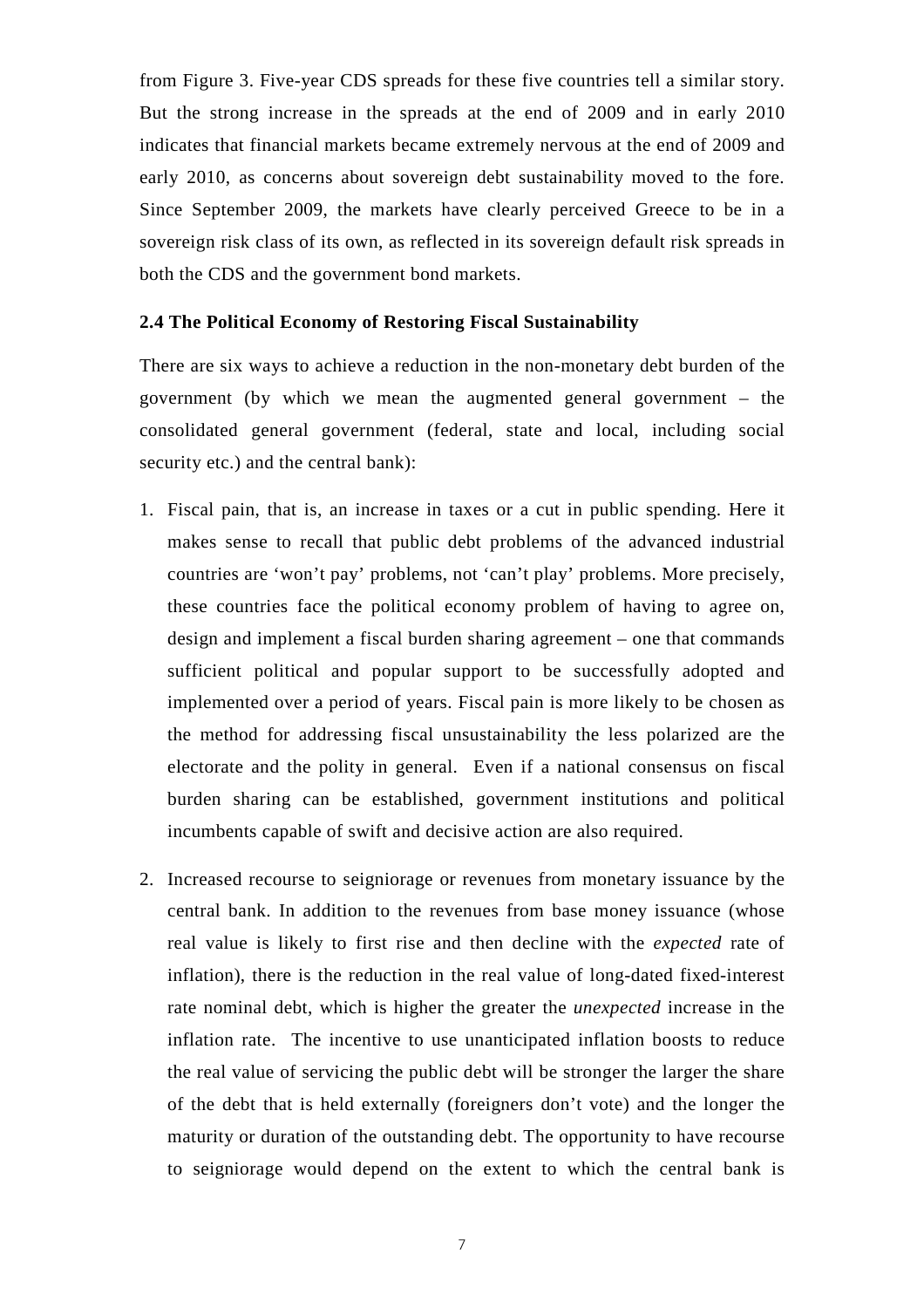from Figure 3. Five-year CDS spreads for these five countries tell a similar story. But the strong increase in the spreads at the end of 2009 and in early 2010 indicates that financial markets became extremely nervous at the end of 2009 and early 2010, as concerns about sovereign debt sustainability moved to the fore. Since September 2009, the markets have clearly perceived Greece to be in a sovereign risk class of its own, as reflected in its sovereign default risk spreads in both the CDS and the government bond markets.

#### **2.4 The Political Economy of Restoring Fiscal Sustainability**

There are six ways to achieve a reduction in the non-monetary debt burden of the government (by which we mean the augmented general government – the consolidated general government (federal, state and local, including social security etc.) and the central bank):

- 1. Fiscal pain, that is, an increase in taxes or a cut in public spending. Here it makes sense to recall that public debt problems of the advanced industrial countries are 'won't pay' problems, not 'can't play' problems. More precisely, these countries face the political economy problem of having to agree on, design and implement a fiscal burden sharing agreement – one that commands sufficient political and popular support to be successfully adopted and implemented over a period of years. Fiscal pain is more likely to be chosen as the method for addressing fiscal unsustainability the less polarized are the electorate and the polity in general. Even if a national consensus on fiscal burden sharing can be established, government institutions and political incumbents capable of swift and decisive action are also required.
- 2. Increased recourse to seigniorage or revenues from monetary issuance by the central bank. In addition to the revenues from base money issuance (whose real value is likely to first rise and then decline with the *expected* rate of inflation), there is the reduction in the real value of long-dated fixed-interest rate nominal debt, which is higher the greater the *unexpected* increase in the inflation rate. The incentive to use unanticipated inflation boosts to reduce the real value of servicing the public debt will be stronger the larger the share of the debt that is held externally (foreigners don't vote) and the longer the maturity or duration of the outstanding debt. The opportunity to have recourse to seigniorage would depend on the extent to which the central bank is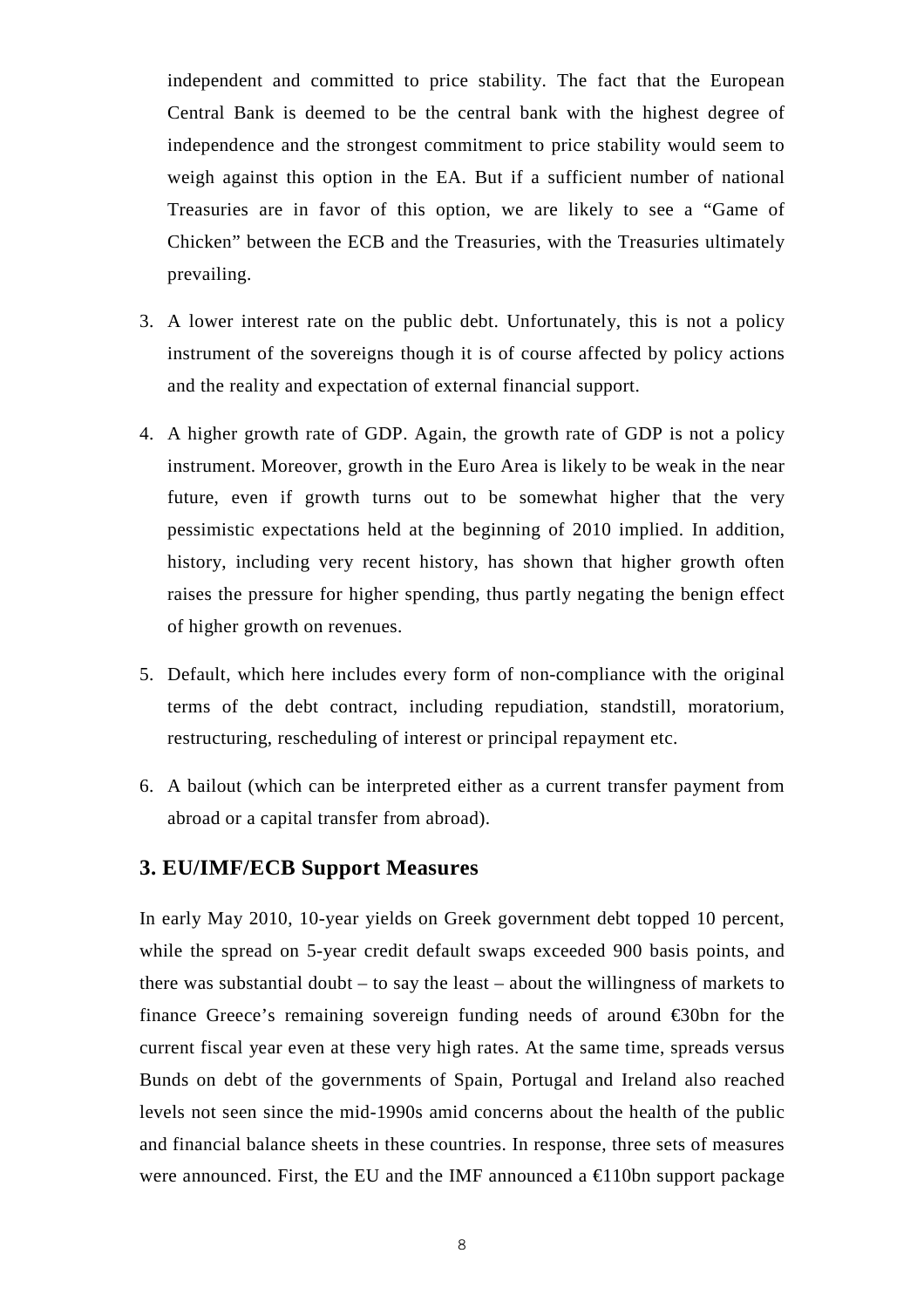independent and committed to price stability. The fact that the European Central Bank is deemed to be the central bank with the highest degree of independence and the strongest commitment to price stability would seem to weigh against this option in the EA. But if a sufficient number of national Treasuries are in favor of this option, we are likely to see a "Game of Chicken" between the ECB and the Treasuries, with the Treasuries ultimately prevailing.

- 3. A lower interest rate on the public debt. Unfortunately, this is not a policy instrument of the sovereigns though it is of course affected by policy actions and the reality and expectation of external financial support.
- 4. A higher growth rate of GDP. Again, the growth rate of GDP is not a policy instrument. Moreover, growth in the Euro Area is likely to be weak in the near future, even if growth turns out to be somewhat higher that the very pessimistic expectations held at the beginning of 2010 implied. In addition, history, including very recent history, has shown that higher growth often raises the pressure for higher spending, thus partly negating the benign effect of higher growth on revenues.
- 5. Default, which here includes every form of non-compliance with the original terms of the debt contract, including repudiation, standstill, moratorium, restructuring, rescheduling of interest or principal repayment etc.
- 6. A bailout (which can be interpreted either as a current transfer payment from abroad or a capital transfer from abroad).

## **3. EU/IMF/ECB Support Measures**

In early May 2010, 10-year yields on Greek government debt topped 10 percent, while the spread on 5-year credit default swaps exceeded 900 basis points, and there was substantial doubt – to say the least – about the willingness of markets to finance Greece's remaining sovereign funding needs of around  $\epsilon$ 30bn for the current fiscal year even at these very high rates. At the same time, spreads versus Bunds on debt of the governments of Spain, Portugal and Ireland also reached levels not seen since the mid-1990s amid concerns about the health of the public and financial balance sheets in these countries. In response, three sets of measures were announced. First, the EU and the IMF announced a  $\epsilon$ 110bn support package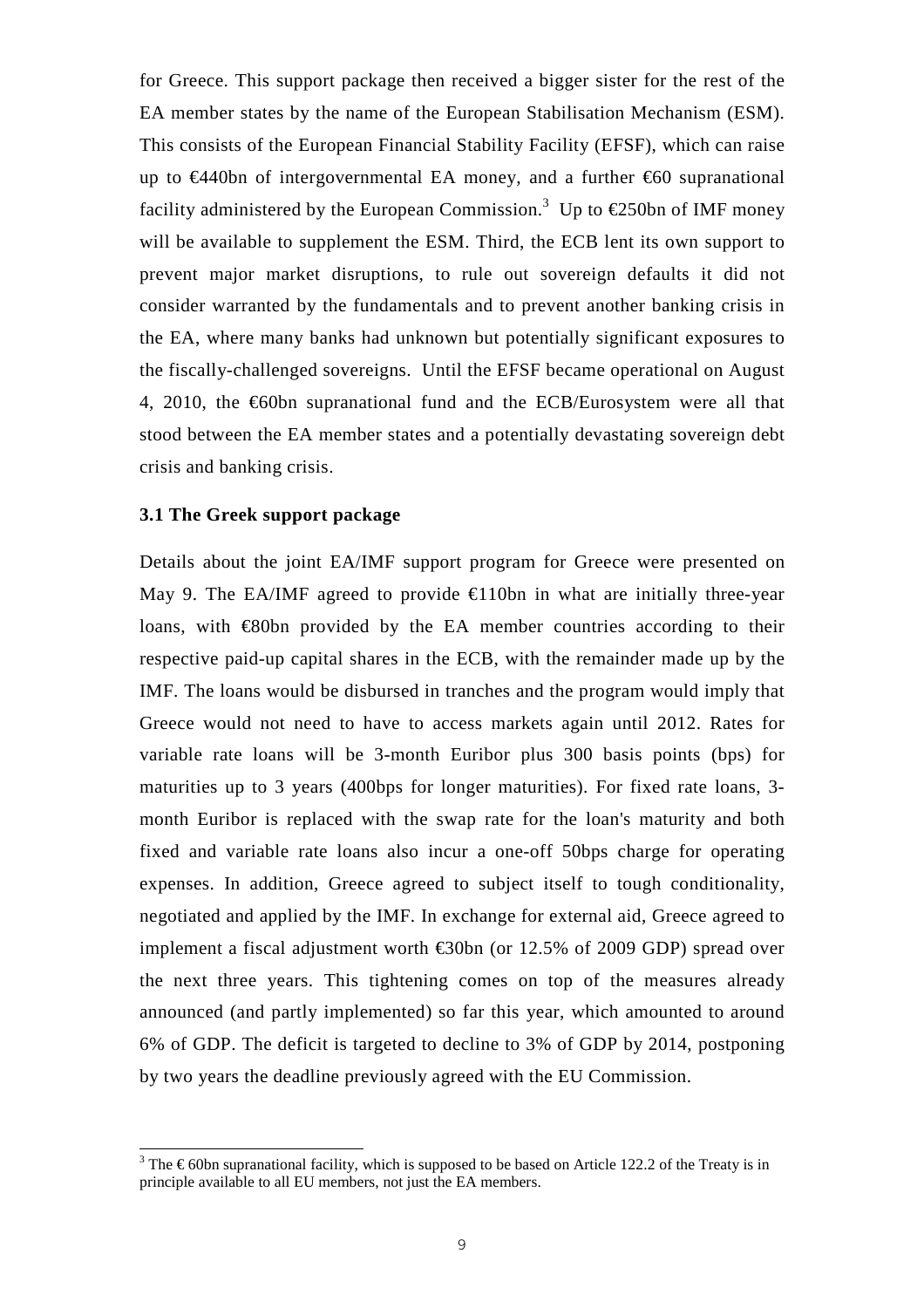for Greece. This support package then received a bigger sister for the rest of the EA member states by the name of the European Stabilisation Mechanism (ESM). This consists of the European Financial Stability Facility (EFSF), which can raise up to €440bn of intergovernmental EA money, and a further €60 supranational facility administered by the European Commission.<sup>3</sup> Up to  $\epsilon$ 250bn of IMF money will be available to supplement the ESM. Third, the ECB lent its own support to prevent major market disruptions, to rule out sovereign defaults it did not consider warranted by the fundamentals and to prevent another banking crisis in the EA, where many banks had unknown but potentially significant exposures to the fiscally-challenged sovereigns. Until the EFSF became operational on August 4, 2010, the  $\epsilon$ 60bn supranational fund and the ECB/Eurosystem were all that stood between the EA member states and a potentially devastating sovereign debt crisis and banking crisis.

#### **3.1 The Greek support package**

l

Details about the joint EA/IMF support program for Greece were presented on May 9. The EA/IMF agreed to provide  $\epsilon$ 110bn in what are initially three-year loans, with  $\epsilon$ 80bn provided by the EA member countries according to their respective paid-up capital shares in the ECB, with the remainder made up by the IMF. The loans would be disbursed in tranches and the program would imply that Greece would not need to have to access markets again until 2012. Rates for variable rate loans will be 3-month Euribor plus 300 basis points (bps) for maturities up to 3 years (400bps for longer maturities). For fixed rate loans, 3 month Euribor is replaced with the swap rate for the loan's maturity and both fixed and variable rate loans also incur a one-off 50bps charge for operating expenses. In addition, Greece agreed to subject itself to tough conditionality, negotiated and applied by the IMF. In exchange for external aid, Greece agreed to implement a fiscal adjustment worth €30bn (or 12.5% of 2009 GDP) spread over the next three years. This tightening comes on top of the measures already announced (and partly implemented) so far this year, which amounted to around 6% of GDP. The deficit is targeted to decline to 3% of GDP by 2014, postponing by two years the deadline previously agreed with the EU Commission.

<sup>&</sup>lt;sup>3</sup> The  $\epsilon$  60bn supranational facility, which is supposed to be based on Article 122.2 of the Treaty is in principle available to all EU members, not just the EA members.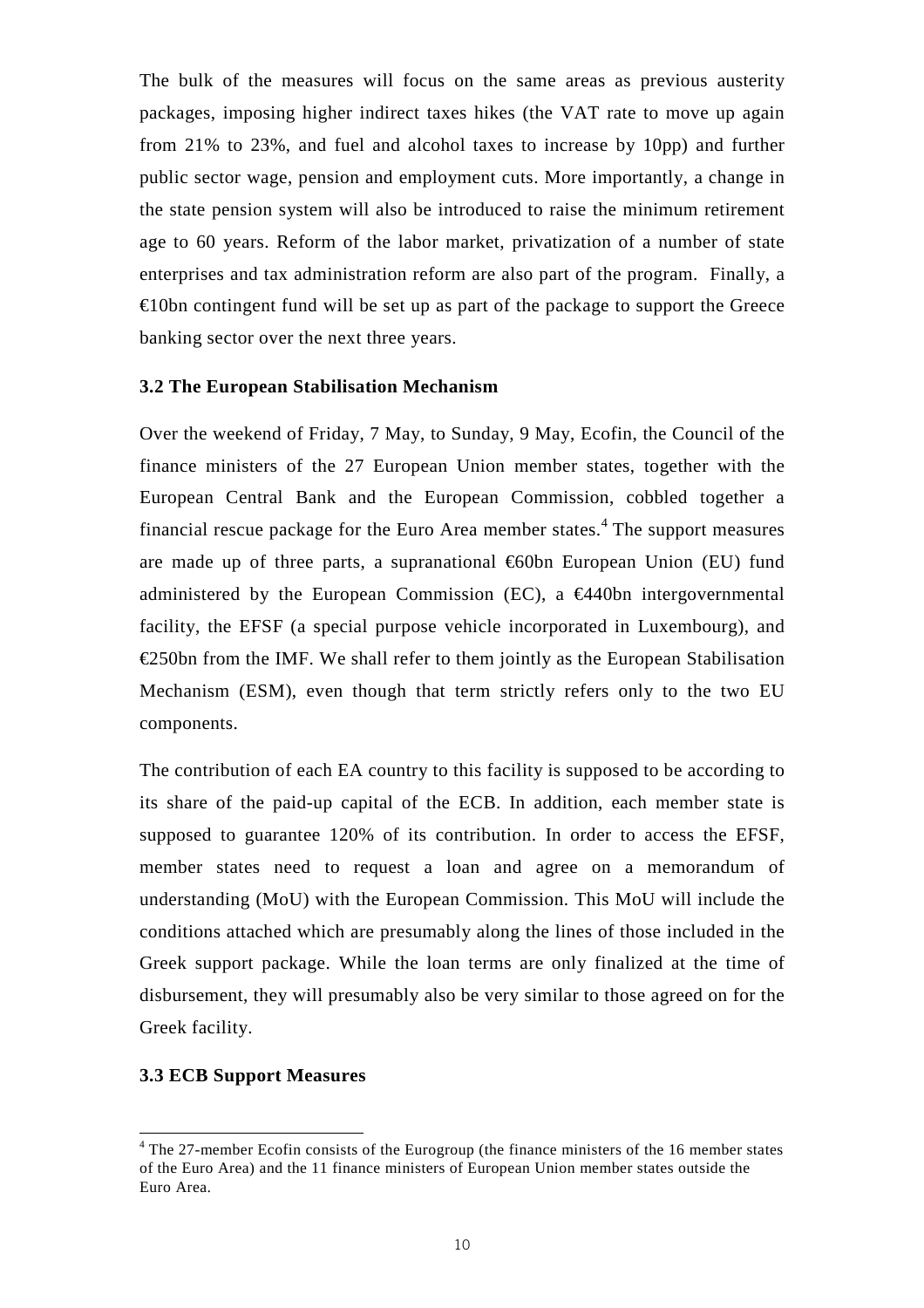The bulk of the measures will focus on the same areas as previous austerity packages, imposing higher indirect taxes hikes (the VAT rate to move up again from 21% to 23%, and fuel and alcohol taxes to increase by 10pp) and further public sector wage, pension and employment cuts. More importantly, a change in the state pension system will also be introduced to raise the minimum retirement age to 60 years. Reform of the labor market, privatization of a number of state enterprises and tax administration reform are also part of the program. Finally, a  $\epsilon$ 10bn contingent fund will be set up as part of the package to support the Greece banking sector over the next three years.

#### **3.2 The European Stabilisation Mechanism**

Over the weekend of Friday, 7 May, to Sunday, 9 May, Ecofin, the Council of the finance ministers of the 27 European Union member states, together with the European Central Bank and the European Commission, cobbled together a financial rescue package for the Euro Area member states. $4$  The support measures are made up of three parts, a supranational  $\epsilon$ 60bn European Union (EU) fund administered by the European Commission (EC), a  $\epsilon$ 440bn intergovernmental facility, the EFSF (a special purpose vehicle incorporated in Luxembourg), and  $\epsilon$ 250bn from the IMF. We shall refer to them jointly as the European Stabilisation Mechanism (ESM), even though that term strictly refers only to the two EU components.

The contribution of each EA country to this facility is supposed to be according to its share of the paid-up capital of the ECB. In addition, each member state is supposed to guarantee 120% of its contribution. In order to access the EFSF, member states need to request a loan and agree on a memorandum of understanding (MoU) with the European Commission. This MoU will include the conditions attached which are presumably along the lines of those included in the Greek support package. While the loan terms are only finalized at the time of disbursement, they will presumably also be very similar to those agreed on for the Greek facility.

#### **3.3 ECB Support Measures**

ı

<sup>&</sup>lt;sup>4</sup> The 27-member Ecofin consists of the Eurogroup (the finance ministers of the 16 member states of the Euro Area) and the 11 finance ministers of European Union member states outside the Euro Area.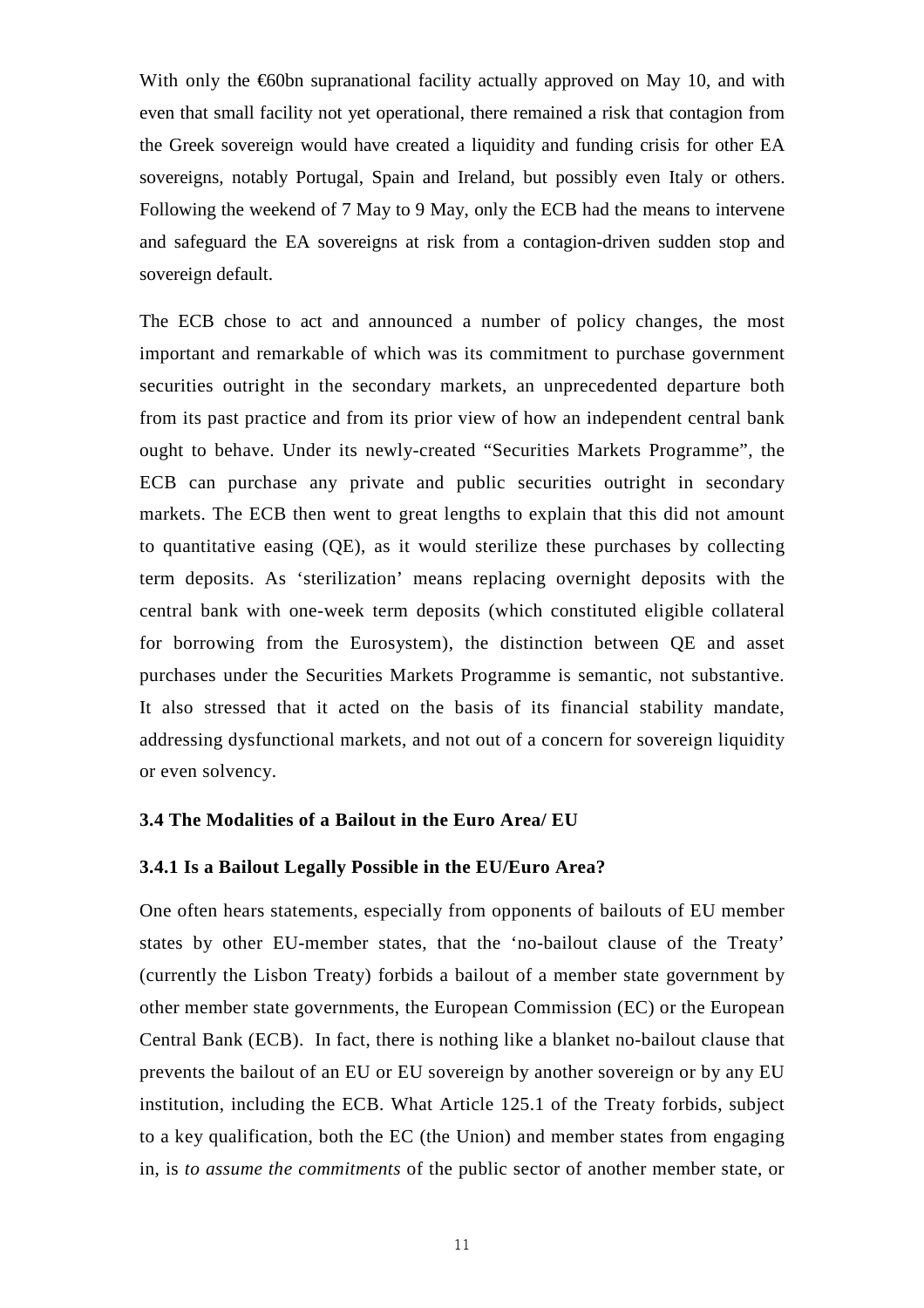With only the  $\epsilon$ 60bn supranational facility actually approved on May 10, and with even that small facility not yet operational, there remained a risk that contagion from the Greek sovereign would have created a liquidity and funding crisis for other EA sovereigns, notably Portugal, Spain and Ireland, but possibly even Italy or others. Following the weekend of 7 May to 9 May, only the ECB had the means to intervene and safeguard the EA sovereigns at risk from a contagion-driven sudden stop and sovereign default.

The ECB chose to act and announced a number of policy changes, the most important and remarkable of which was its commitment to purchase government securities outright in the secondary markets, an unprecedented departure both from its past practice and from its prior view of how an independent central bank ought to behave. Under its newly-created "Securities Markets Programme", the ECB can purchase any private and public securities outright in secondary markets. The ECB then went to great lengths to explain that this did not amount to quantitative easing (QE), as it would sterilize these purchases by collecting term deposits. As 'sterilization' means replacing overnight deposits with the central bank with one-week term deposits (which constituted eligible collateral for borrowing from the Eurosystem), the distinction between QE and asset purchases under the Securities Markets Programme is semantic, not substantive. It also stressed that it acted on the basis of its financial stability mandate, addressing dysfunctional markets, and not out of a concern for sovereign liquidity or even solvency.

#### **3.4 The Modalities of a Bailout in the Euro Area/ EU**

#### **3.4.1 Is a Bailout Legally Possible in the EU/Euro Area?**

One often hears statements, especially from opponents of bailouts of EU member states by other EU-member states, that the 'no-bailout clause of the Treaty' (currently the Lisbon Treaty) forbids a bailout of a member state government by other member state governments, the European Commission (EC) or the European Central Bank (ECB). In fact, there is nothing like a blanket no-bailout clause that prevents the bailout of an EU or EU sovereign by another sovereign or by any EU institution, including the ECB. What Article 125.1 of the Treaty forbids, subject to a key qualification, both the EC (the Union) and member states from engaging in, is *to assume the commitments* of the public sector of another member state, or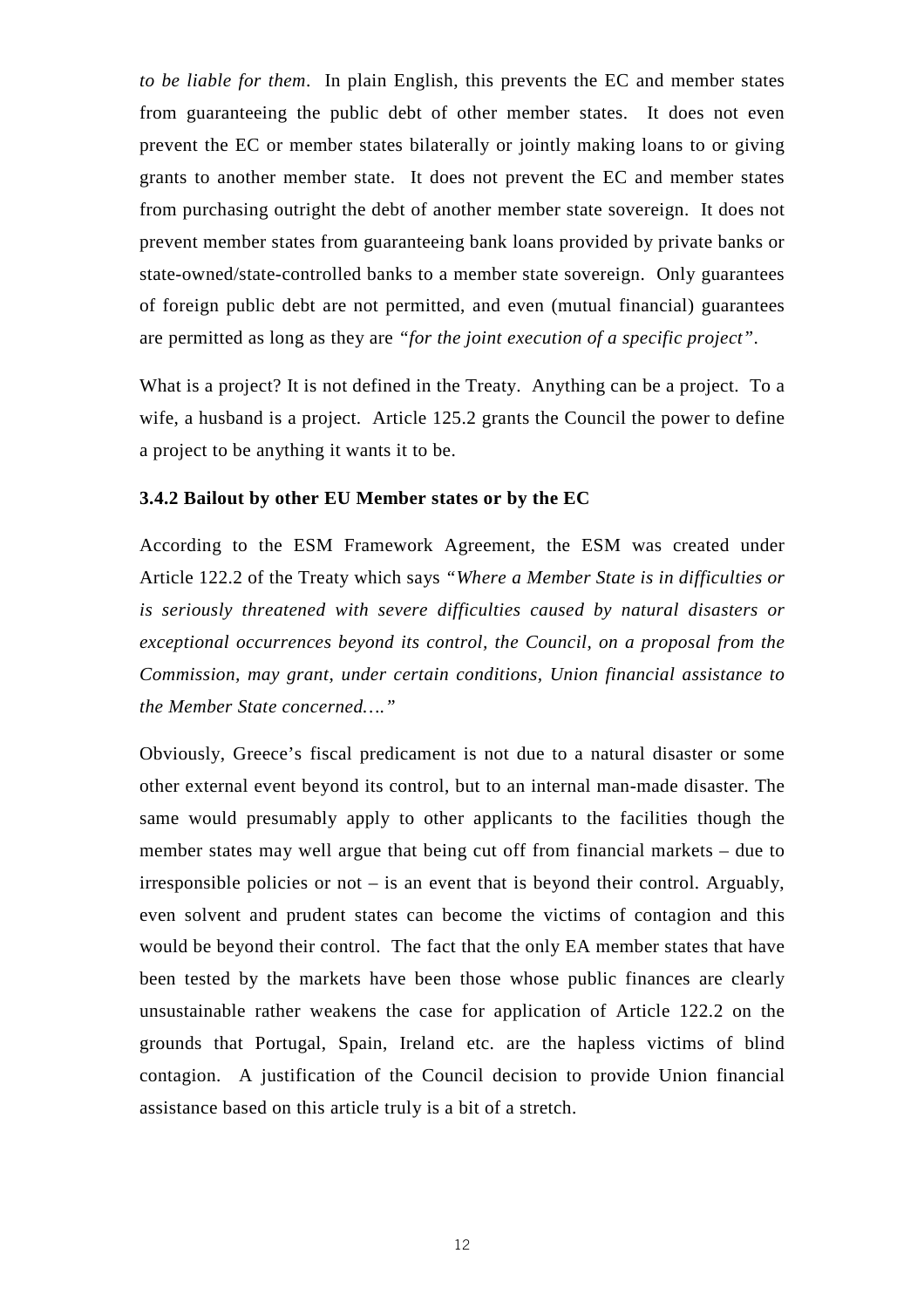*to be liable for them*. In plain English, this prevents the EC and member states from guaranteeing the public debt of other member states. It does not even prevent the EC or member states bilaterally or jointly making loans to or giving grants to another member state. It does not prevent the EC and member states from purchasing outright the debt of another member state sovereign. It does not prevent member states from guaranteeing bank loans provided by private banks or state-owned/state-controlled banks to a member state sovereign. Only guarantees of foreign public debt are not permitted, and even (mutual financial) guarantees are permitted as long as they are *"for the joint execution of a specific project"*.

What is a project? It is not defined in the Treaty. Anything can be a project. To a wife, a husband is a project. Article 125.2 grants the Council the power to define a project to be anything it wants it to be.

#### **3.4.2 Bailout by other EU Member states or by the EC**

According to the ESM Framework Agreement, the ESM was created under Article 122.2 of the Treaty which says *"Where a Member State is in difficulties or is seriously threatened with severe difficulties caused by natural disasters or exceptional occurrences beyond its control, the Council, on a proposal from the Commission, may grant, under certain conditions, Union financial assistance to the Member State concerned…."* 

Obviously, Greece's fiscal predicament is not due to a natural disaster or some other external event beyond its control, but to an internal man-made disaster. The same would presumably apply to other applicants to the facilities though the member states may well argue that being cut off from financial markets – due to irresponsible policies or not – is an event that is beyond their control. Arguably, even solvent and prudent states can become the victims of contagion and this would be beyond their control. The fact that the only EA member states that have been tested by the markets have been those whose public finances are clearly unsustainable rather weakens the case for application of Article 122.2 on the grounds that Portugal, Spain, Ireland etc. are the hapless victims of blind contagion. A justification of the Council decision to provide Union financial assistance based on this article truly is a bit of a stretch.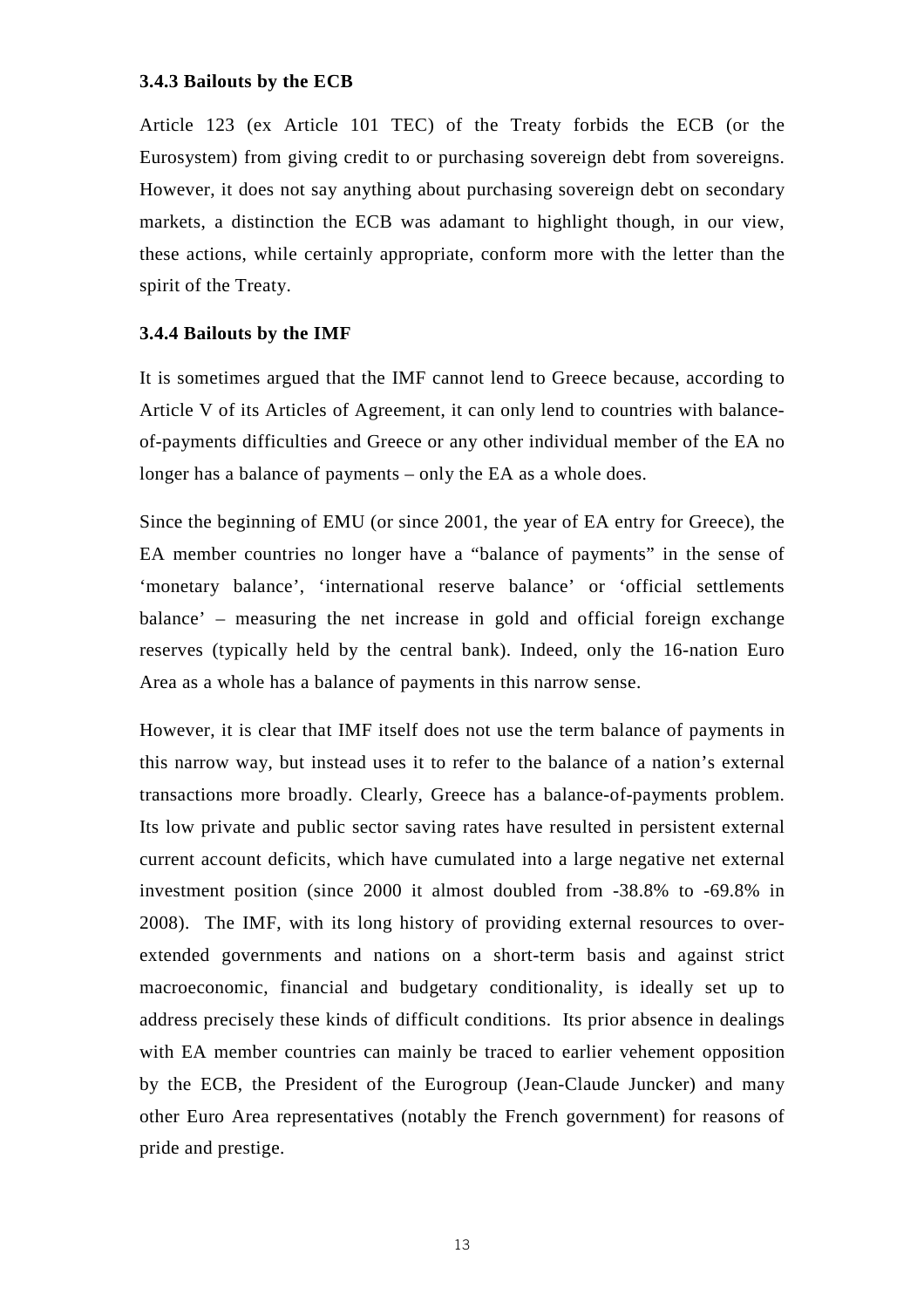#### **3.4.3 Bailouts by the ECB**

Article 123 (ex Article 101 TEC) of the Treaty forbids the ECB (or the Eurosystem) from giving credit to or purchasing sovereign debt from sovereigns. However, it does not say anything about purchasing sovereign debt on secondary markets, a distinction the ECB was adamant to highlight though, in our view, these actions, while certainly appropriate, conform more with the letter than the spirit of the Treaty.

#### **3.4.4 Bailouts by the IMF**

It is sometimes argued that the IMF cannot lend to Greece because, according to Article V of its Articles of Agreement, it can only lend to countries with balanceof-payments difficulties and Greece or any other individual member of the EA no longer has a balance of payments – only the EA as a whole does.

Since the beginning of EMU (or since 2001, the year of EA entry for Greece), the EA member countries no longer have a "balance of payments" in the sense of 'monetary balance', 'international reserve balance' or 'official settlements balance' – measuring the net increase in gold and official foreign exchange reserves (typically held by the central bank). Indeed, only the 16-nation Euro Area as a whole has a balance of payments in this narrow sense.

However, it is clear that IMF itself does not use the term balance of payments in this narrow way, but instead uses it to refer to the balance of a nation's external transactions more broadly. Clearly, Greece has a balance-of-payments problem. Its low private and public sector saving rates have resulted in persistent external current account deficits, which have cumulated into a large negative net external investment position (since 2000 it almost doubled from -38.8% to -69.8% in 2008). The IMF, with its long history of providing external resources to overextended governments and nations on a short-term basis and against strict macroeconomic, financial and budgetary conditionality, is ideally set up to address precisely these kinds of difficult conditions. Its prior absence in dealings with EA member countries can mainly be traced to earlier vehement opposition by the ECB, the President of the Eurogroup (Jean-Claude Juncker) and many other Euro Area representatives (notably the French government) for reasons of pride and prestige.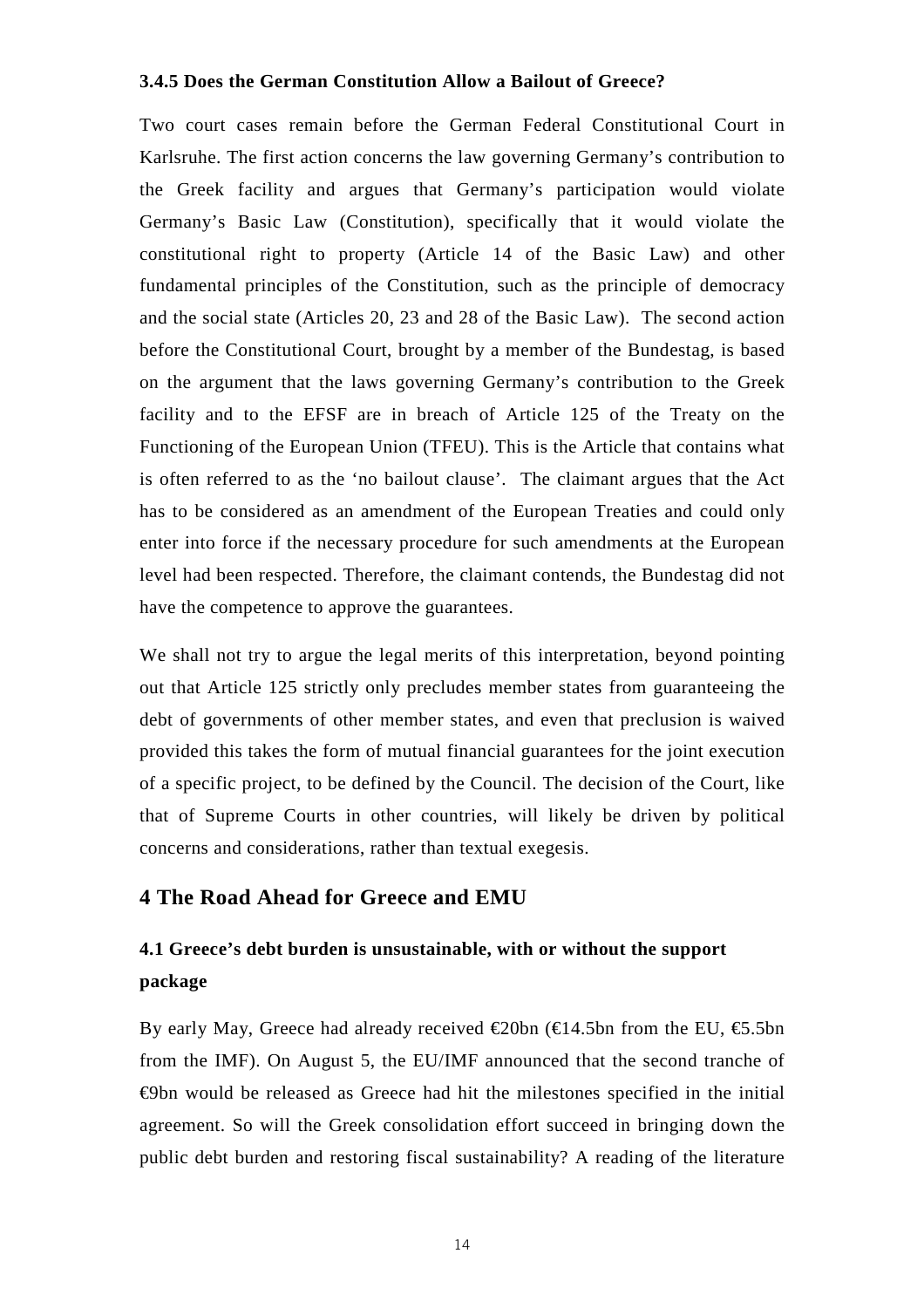#### **3.4.5 Does the German Constitution Allow a Bailout of Greece?**

Two court cases remain before the German Federal Constitutional Court in Karlsruhe. The first action concerns the law governing Germany's contribution to the Greek facility and argues that Germany's participation would violate Germany's Basic Law (Constitution), specifically that it would violate the constitutional right to property (Article 14 of the Basic Law) and other fundamental principles of the Constitution, such as the principle of democracy and the social state (Articles 20, 23 and 28 of the Basic Law). The second action before the Constitutional Court, brought by a member of the Bundestag, is based on the argument that the laws governing Germany's contribution to the Greek facility and to the EFSF are in breach of Article 125 of the Treaty on the Functioning of the European Union (TFEU). This is the Article that contains what is often referred to as the 'no bailout clause'. The claimant argues that the Act has to be considered as an amendment of the European Treaties and could only enter into force if the necessary procedure for such amendments at the European level had been respected. Therefore, the claimant contends, the Bundestag did not have the competence to approve the guarantees.

We shall not try to argue the legal merits of this interpretation, beyond pointing out that Article 125 strictly only precludes member states from guaranteeing the debt of governments of other member states, and even that preclusion is waived provided this takes the form of mutual financial guarantees for the joint execution of a specific project, to be defined by the Council. The decision of the Court, like that of Supreme Courts in other countries, will likely be driven by political concerns and considerations, rather than textual exegesis.

## **4 The Road Ahead for Greece and EMU**

## **4.1 Greece's debt burden is unsustainable, with or without the support package**

By early May, Greece had already received  $\epsilon$ 20bn ( $\epsilon$ 4.5bn from the EU,  $\epsilon$ 5.5bn from the IMF). On August 5, the EU/IMF announced that the second tranche of €9bn would be released as Greece had hit the milestones specified in the initial agreement. So will the Greek consolidation effort succeed in bringing down the public debt burden and restoring fiscal sustainability? A reading of the literature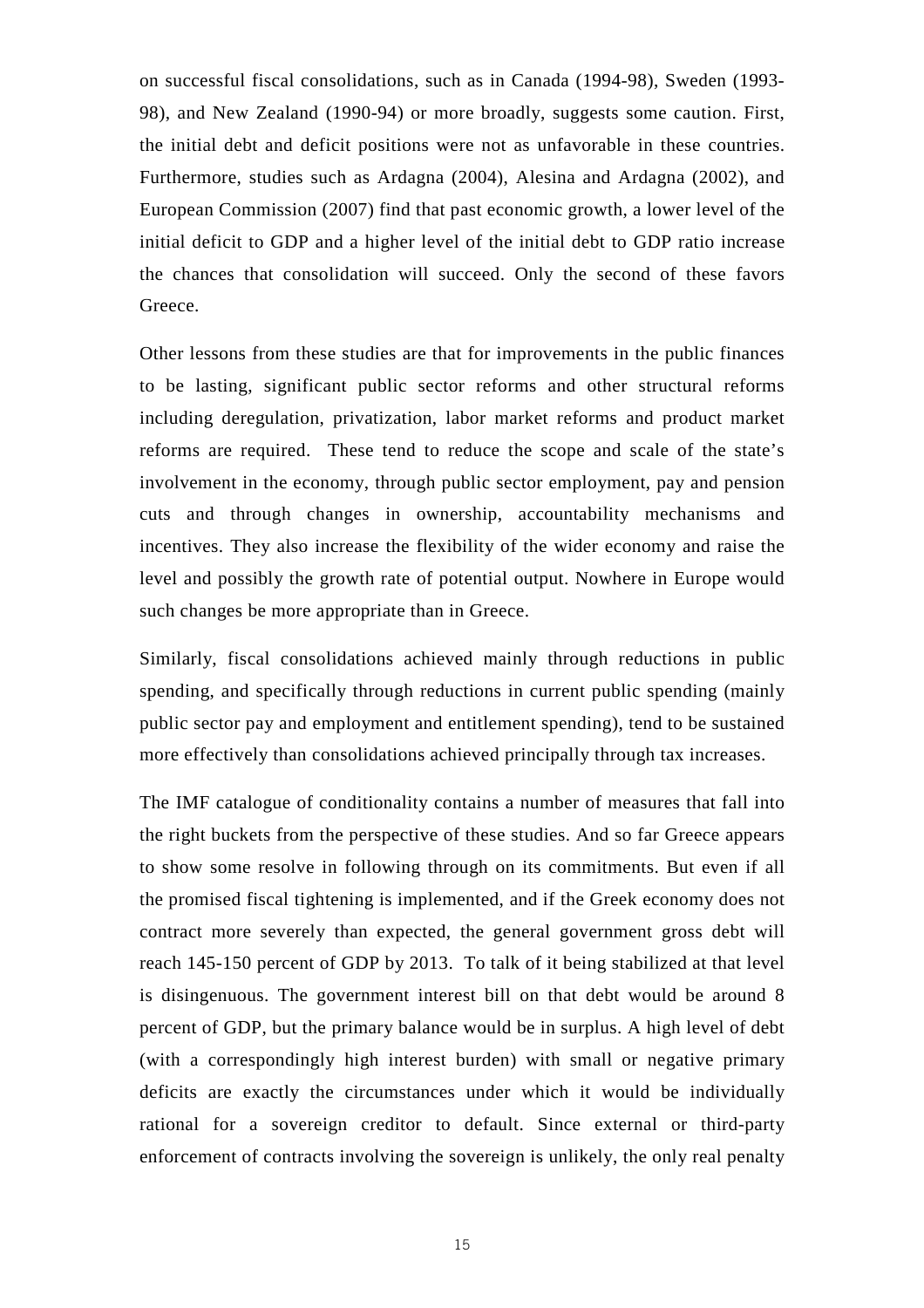on successful fiscal consolidations, such as in Canada (1994-98), Sweden (1993- 98), and New Zealand (1990-94) or more broadly, suggests some caution. First, the initial debt and deficit positions were not as unfavorable in these countries. Furthermore, studies such as Ardagna (2004), Alesina and Ardagna (2002), and European Commission (2007) find that past economic growth, a lower level of the initial deficit to GDP and a higher level of the initial debt to GDP ratio increase the chances that consolidation will succeed. Only the second of these favors Greece.

Other lessons from these studies are that for improvements in the public finances to be lasting, significant public sector reforms and other structural reforms including deregulation, privatization, labor market reforms and product market reforms are required. These tend to reduce the scope and scale of the state's involvement in the economy, through public sector employment, pay and pension cuts and through changes in ownership, accountability mechanisms and incentives. They also increase the flexibility of the wider economy and raise the level and possibly the growth rate of potential output. Nowhere in Europe would such changes be more appropriate than in Greece.

Similarly, fiscal consolidations achieved mainly through reductions in public spending, and specifically through reductions in current public spending (mainly public sector pay and employment and entitlement spending), tend to be sustained more effectively than consolidations achieved principally through tax increases.

The IMF catalogue of conditionality contains a number of measures that fall into the right buckets from the perspective of these studies. And so far Greece appears to show some resolve in following through on its commitments. But even if all the promised fiscal tightening is implemented, and if the Greek economy does not contract more severely than expected, the general government gross debt will reach 145-150 percent of GDP by 2013. To talk of it being stabilized at that level is disingenuous. The government interest bill on that debt would be around 8 percent of GDP, but the primary balance would be in surplus. A high level of debt (with a correspondingly high interest burden) with small or negative primary deficits are exactly the circumstances under which it would be individually rational for a sovereign creditor to default. Since external or third-party enforcement of contracts involving the sovereign is unlikely, the only real penalty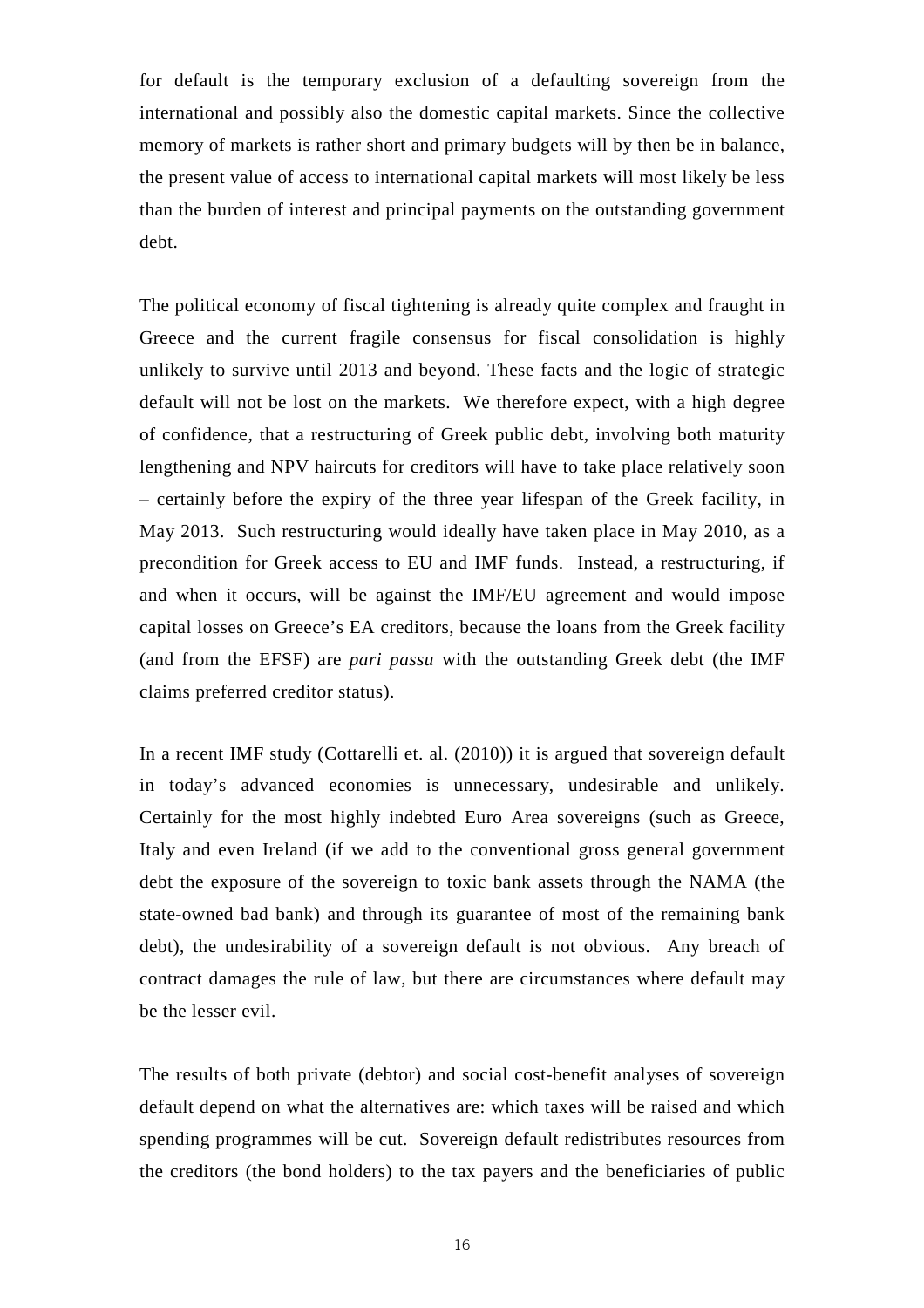for default is the temporary exclusion of a defaulting sovereign from the international and possibly also the domestic capital markets. Since the collective memory of markets is rather short and primary budgets will by then be in balance, the present value of access to international capital markets will most likely be less than the burden of interest and principal payments on the outstanding government debt.

The political economy of fiscal tightening is already quite complex and fraught in Greece and the current fragile consensus for fiscal consolidation is highly unlikely to survive until 2013 and beyond. These facts and the logic of strategic default will not be lost on the markets. We therefore expect, with a high degree of confidence, that a restructuring of Greek public debt, involving both maturity lengthening and NPV haircuts for creditors will have to take place relatively soon – certainly before the expiry of the three year lifespan of the Greek facility, in May 2013. Such restructuring would ideally have taken place in May 2010, as a precondition for Greek access to EU and IMF funds. Instead, a restructuring, if and when it occurs, will be against the IMF/EU agreement and would impose capital losses on Greece's EA creditors, because the loans from the Greek facility (and from the EFSF) are *pari passu* with the outstanding Greek debt (the IMF claims preferred creditor status).

In a recent IMF study (Cottarelli et. al. (2010)) it is argued that sovereign default in today's advanced economies is unnecessary, undesirable and unlikely. Certainly for the most highly indebted Euro Area sovereigns (such as Greece, Italy and even Ireland (if we add to the conventional gross general government debt the exposure of the sovereign to toxic bank assets through the NAMA (the state-owned bad bank) and through its guarantee of most of the remaining bank debt), the undesirability of a sovereign default is not obvious. Any breach of contract damages the rule of law, but there are circumstances where default may be the lesser evil.

The results of both private (debtor) and social cost-benefit analyses of sovereign default depend on what the alternatives are: which taxes will be raised and which spending programmes will be cut. Sovereign default redistributes resources from the creditors (the bond holders) to the tax payers and the beneficiaries of public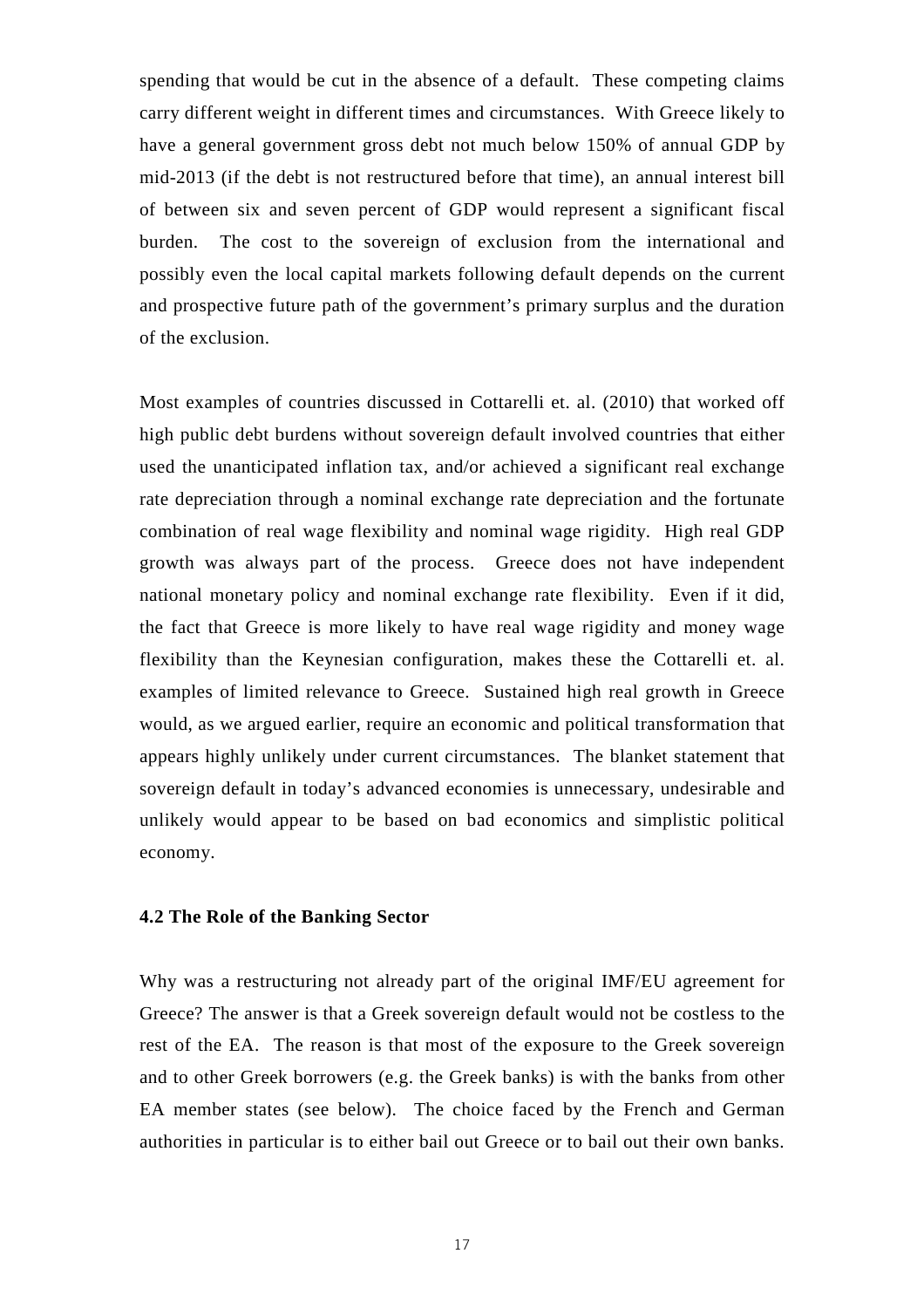spending that would be cut in the absence of a default. These competing claims carry different weight in different times and circumstances. With Greece likely to have a general government gross debt not much below 150% of annual GDP by mid-2013 (if the debt is not restructured before that time), an annual interest bill of between six and seven percent of GDP would represent a significant fiscal burden. The cost to the sovereign of exclusion from the international and possibly even the local capital markets following default depends on the current and prospective future path of the government's primary surplus and the duration of the exclusion.

Most examples of countries discussed in Cottarelli et. al. (2010) that worked off high public debt burdens without sovereign default involved countries that either used the unanticipated inflation tax, and/or achieved a significant real exchange rate depreciation through a nominal exchange rate depreciation and the fortunate combination of real wage flexibility and nominal wage rigidity. High real GDP growth was always part of the process. Greece does not have independent national monetary policy and nominal exchange rate flexibility. Even if it did, the fact that Greece is more likely to have real wage rigidity and money wage flexibility than the Keynesian configuration, makes these the Cottarelli et. al. examples of limited relevance to Greece. Sustained high real growth in Greece would, as we argued earlier, require an economic and political transformation that appears highly unlikely under current circumstances. The blanket statement that sovereign default in today's advanced economies is unnecessary, undesirable and unlikely would appear to be based on bad economics and simplistic political economy.

#### **4.2 The Role of the Banking Sector**

Why was a restructuring not already part of the original IMF/EU agreement for Greece? The answer is that a Greek sovereign default would not be costless to the rest of the EA. The reason is that most of the exposure to the Greek sovereign and to other Greek borrowers (e.g. the Greek banks) is with the banks from other EA member states (see below). The choice faced by the French and German authorities in particular is to either bail out Greece or to bail out their own banks.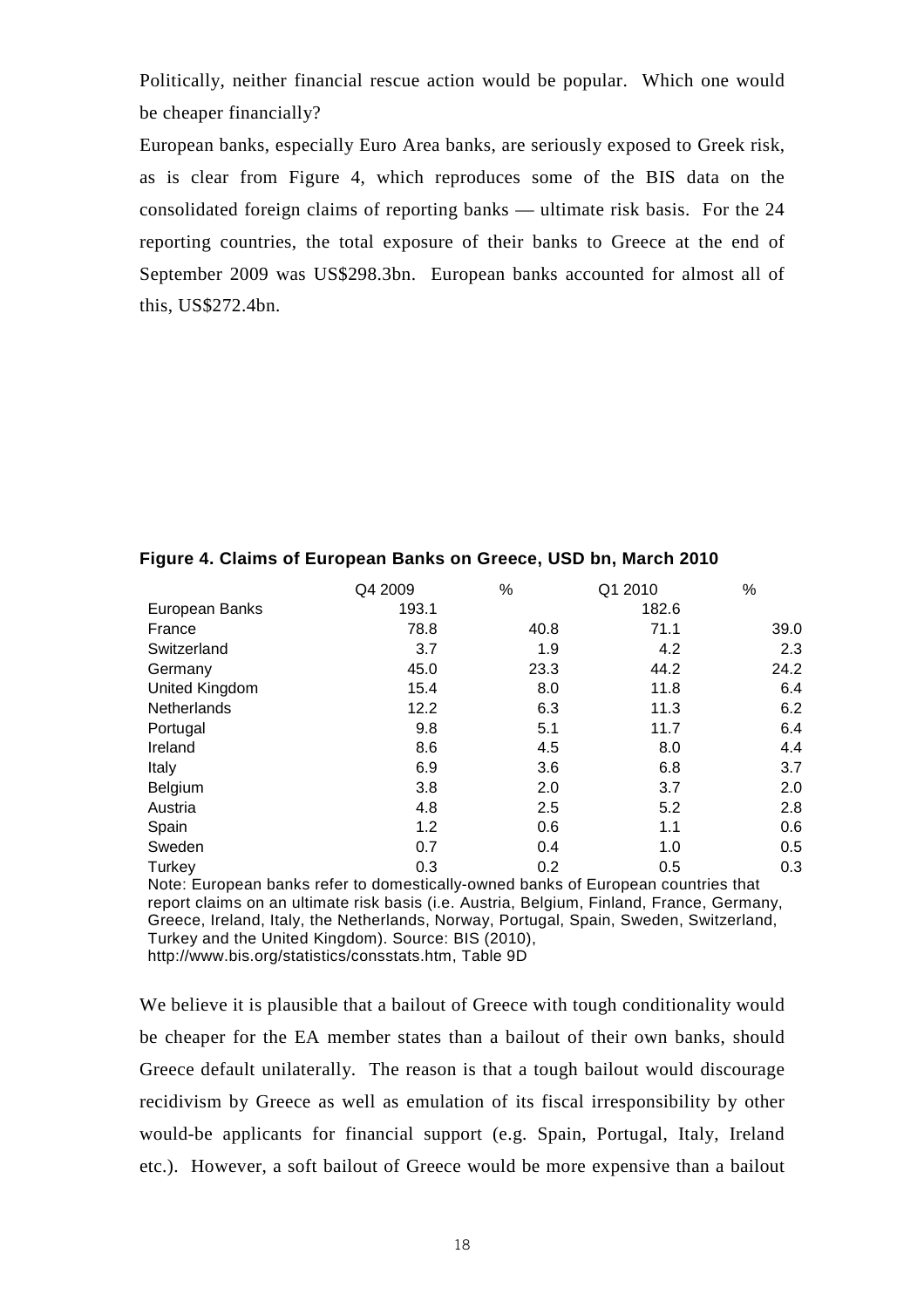Politically, neither financial rescue action would be popular. Which one would be cheaper financially?

European banks, especially Euro Area banks, are seriously exposed to Greek risk, as is clear from Figure 4, which reproduces some of the BIS data on the consolidated foreign claims of reporting banks — ultimate risk basis. For the 24 reporting countries, the total exposure of their banks to Greece at the end of September 2009 was US\$298.3bn. European banks accounted for almost all of this, US\$272.4bn.

|                | Q4 2009 | %    | Q1 2010 | %    |
|----------------|---------|------|---------|------|
| European Banks | 193.1   |      | 182.6   |      |
| France         | 78.8    | 40.8 | 71.1    | 39.0 |
| Switzerland    | 3.7     | 1.9  | 4.2     | 2.3  |
| Germany        | 45.0    | 23.3 | 44.2    | 24.2 |
| United Kingdom | 15.4    | 8.0  | 11.8    | 6.4  |
| Netherlands    | 12.2    | 6.3  | 11.3    | 6.2  |
| Portugal       | 9.8     | 5.1  | 11.7    | 6.4  |
| Ireland        | 8.6     | 4.5  | 8.0     | 4.4  |
| Italy          | 6.9     | 3.6  | 6.8     | 3.7  |
| Belgium        | 3.8     | 2.0  | 3.7     | 2.0  |
| Austria        | 4.8     | 2.5  | 5.2     | 2.8  |
| Spain          | 1.2     | 0.6  | 1.1     | 0.6  |
| Sweden         | 0.7     | 0.4  | 1.0     | 0.5  |
| Turkey         | 0.3     | 0.2  | 0.5     | 0.3  |
|                |         |      |         |      |

#### **Figure 4. Claims of European Banks on Greece, USD bn, March 2010**

Note: European banks refer to domestically-owned banks of European countries that report claims on an ultimate risk basis (i.e. Austria, Belgium, Finland, France, Germany, Greece, Ireland, Italy, the Netherlands, Norway, Portugal, Spain, Sweden, Switzerland, Turkey and the United Kingdom). Source: BIS (2010), http://www.bis.org/statistics/consstats.htm, Table 9D

We believe it is plausible that a bailout of Greece with tough conditionality would be cheaper for the EA member states than a bailout of their own banks, should Greece default unilaterally. The reason is that a tough bailout would discourage recidivism by Greece as well as emulation of its fiscal irresponsibility by other would-be applicants for financial support (e.g. Spain, Portugal, Italy, Ireland etc.). However, a soft bailout of Greece would be more expensive than a bailout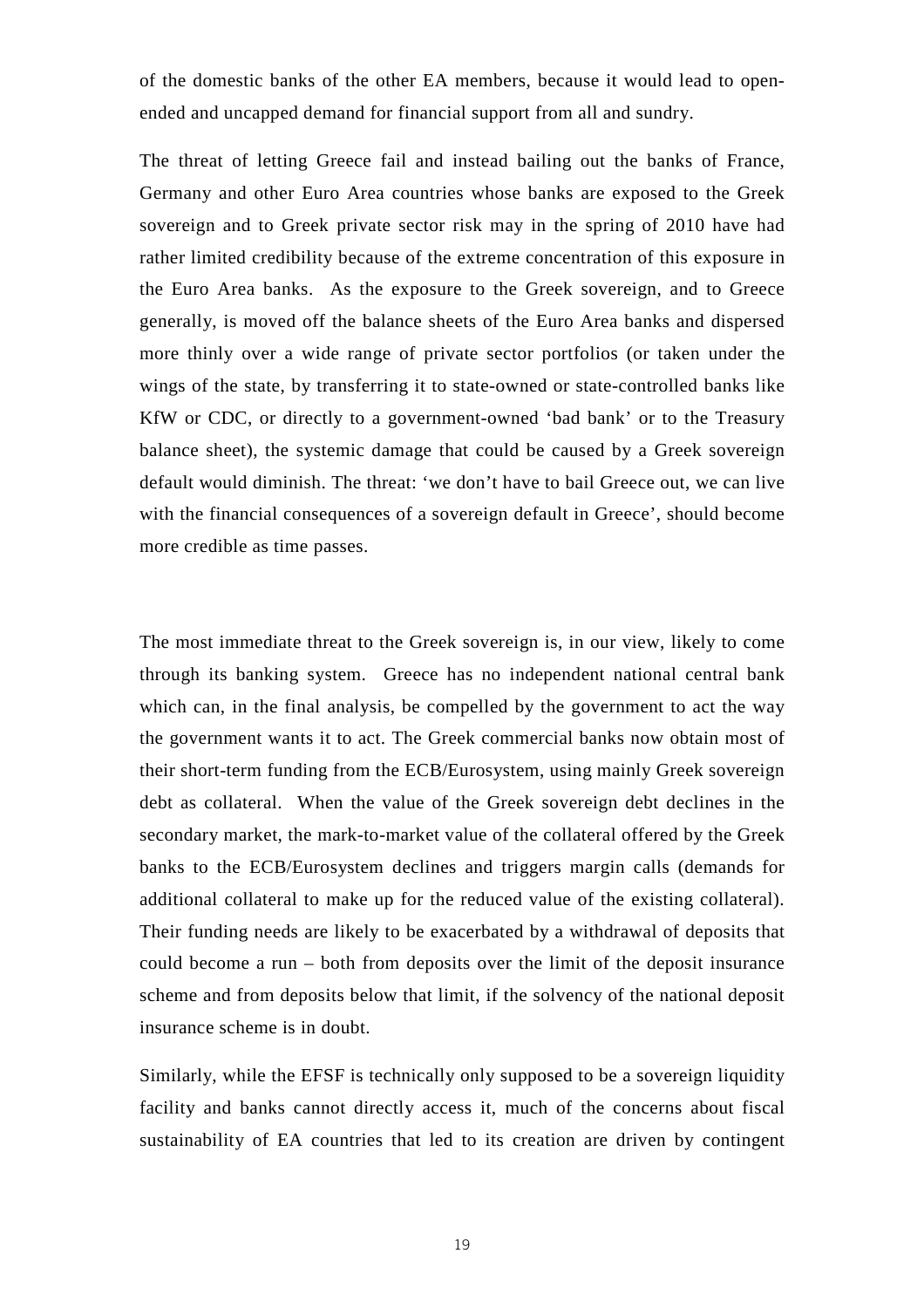of the domestic banks of the other EA members, because it would lead to openended and uncapped demand for financial support from all and sundry.

The threat of letting Greece fail and instead bailing out the banks of France, Germany and other Euro Area countries whose banks are exposed to the Greek sovereign and to Greek private sector risk may in the spring of 2010 have had rather limited credibility because of the extreme concentration of this exposure in the Euro Area banks. As the exposure to the Greek sovereign, and to Greece generally, is moved off the balance sheets of the Euro Area banks and dispersed more thinly over a wide range of private sector portfolios (or taken under the wings of the state, by transferring it to state-owned or state-controlled banks like KfW or CDC, or directly to a government-owned 'bad bank' or to the Treasury balance sheet), the systemic damage that could be caused by a Greek sovereign default would diminish. The threat: 'we don't have to bail Greece out, we can live with the financial consequences of a sovereign default in Greece', should become more credible as time passes.

The most immediate threat to the Greek sovereign is, in our view, likely to come through its banking system. Greece has no independent national central bank which can, in the final analysis, be compelled by the government to act the way the government wants it to act. The Greek commercial banks now obtain most of their short-term funding from the ECB/Eurosystem, using mainly Greek sovereign debt as collateral. When the value of the Greek sovereign debt declines in the secondary market, the mark-to-market value of the collateral offered by the Greek banks to the ECB/Eurosystem declines and triggers margin calls (demands for additional collateral to make up for the reduced value of the existing collateral). Their funding needs are likely to be exacerbated by a withdrawal of deposits that could become a run – both from deposits over the limit of the deposit insurance scheme and from deposits below that limit, if the solvency of the national deposit insurance scheme is in doubt.

Similarly, while the EFSF is technically only supposed to be a sovereign liquidity facility and banks cannot directly access it, much of the concerns about fiscal sustainability of EA countries that led to its creation are driven by contingent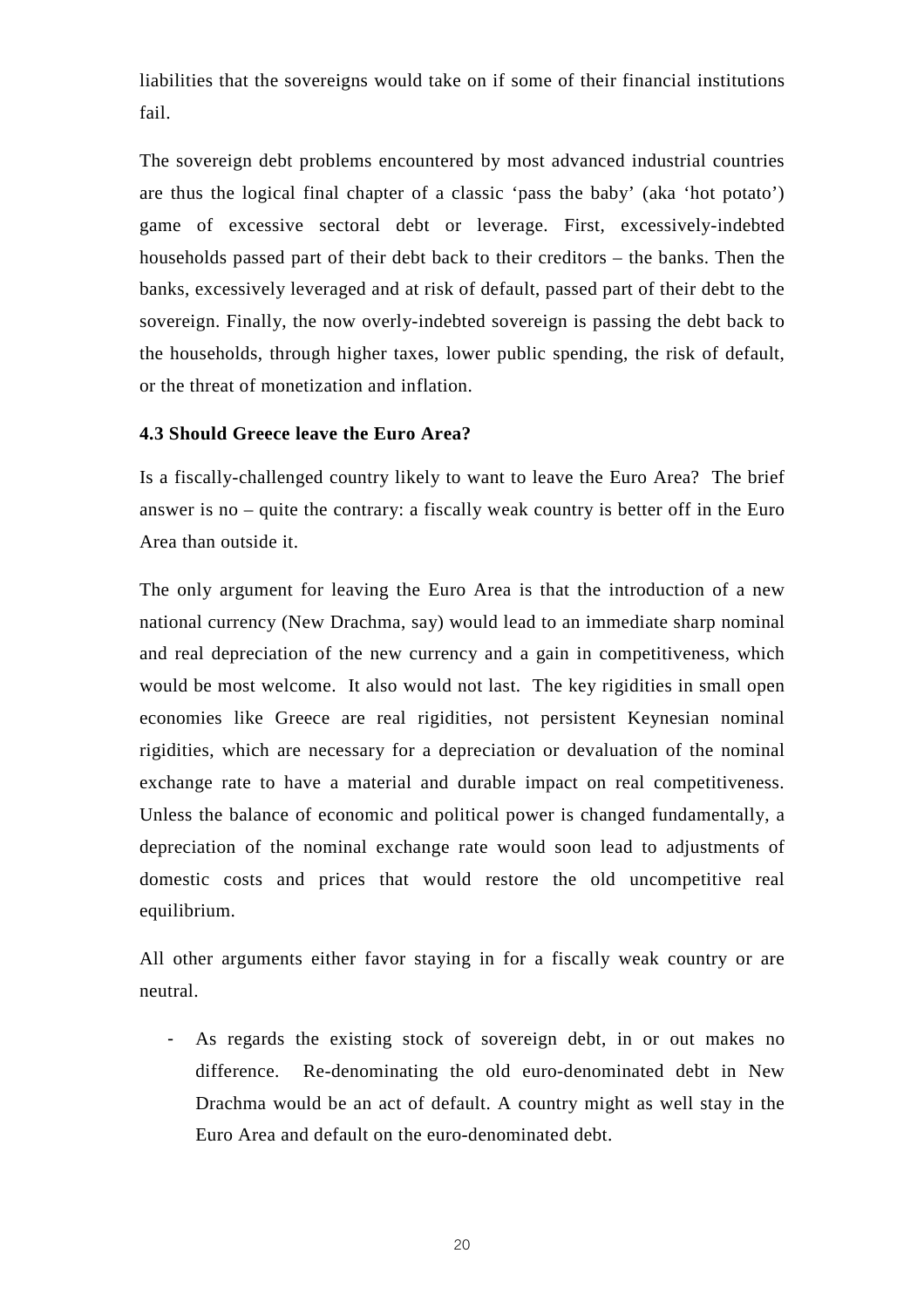liabilities that the sovereigns would take on if some of their financial institutions fail.

The sovereign debt problems encountered by most advanced industrial countries are thus the logical final chapter of a classic 'pass the baby' (aka 'hot potato') game of excessive sectoral debt or leverage. First, excessively-indebted households passed part of their debt back to their creditors – the banks. Then the banks, excessively leveraged and at risk of default, passed part of their debt to the sovereign. Finally, the now overly-indebted sovereign is passing the debt back to the households, through higher taxes, lower public spending, the risk of default, or the threat of monetization and inflation.

### **4.3 Should Greece leave the Euro Area?**

Is a fiscally-challenged country likely to want to leave the Euro Area? The brief answer is no – quite the contrary: a fiscally weak country is better off in the Euro Area than outside it.

The only argument for leaving the Euro Area is that the introduction of a new national currency (New Drachma, say) would lead to an immediate sharp nominal and real depreciation of the new currency and a gain in competitiveness, which would be most welcome. It also would not last. The key rigidities in small open economies like Greece are real rigidities, not persistent Keynesian nominal rigidities, which are necessary for a depreciation or devaluation of the nominal exchange rate to have a material and durable impact on real competitiveness. Unless the balance of economic and political power is changed fundamentally, a depreciation of the nominal exchange rate would soon lead to adjustments of domestic costs and prices that would restore the old uncompetitive real equilibrium.

All other arguments either favor staying in for a fiscally weak country or are neutral.

- As regards the existing stock of sovereign debt, in or out makes no difference. Re-denominating the old euro-denominated debt in New Drachma would be an act of default. A country might as well stay in the Euro Area and default on the euro-denominated debt.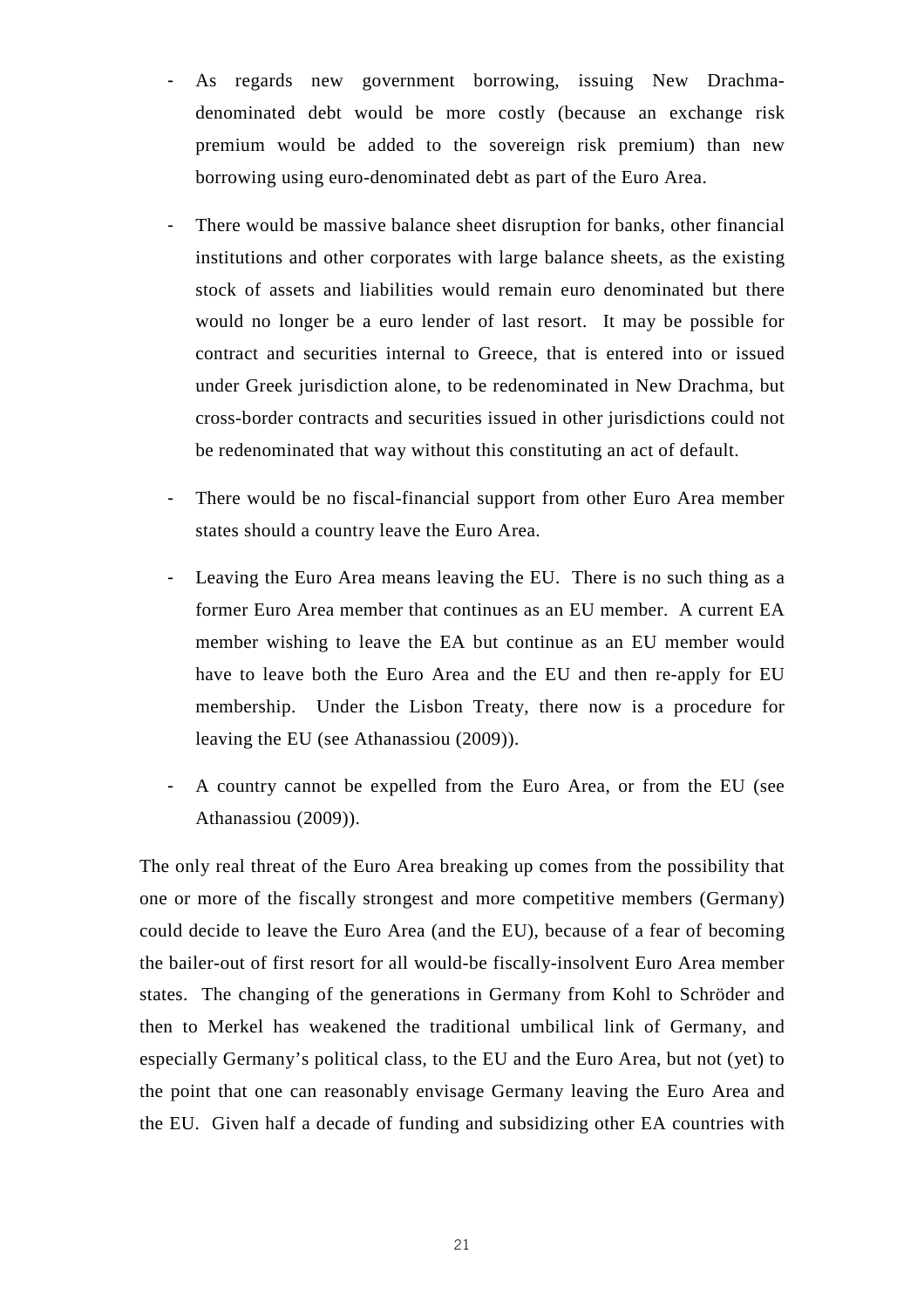- As regards new government borrowing, issuing New Drachmadenominated debt would be more costly (because an exchange risk premium would be added to the sovereign risk premium) than new borrowing using euro-denominated debt as part of the Euro Area.
- There would be massive balance sheet disruption for banks, other financial institutions and other corporates with large balance sheets, as the existing stock of assets and liabilities would remain euro denominated but there would no longer be a euro lender of last resort. It may be possible for contract and securities internal to Greece, that is entered into or issued under Greek jurisdiction alone, to be redenominated in New Drachma, but cross-border contracts and securities issued in other jurisdictions could not be redenominated that way without this constituting an act of default.
- There would be no fiscal-financial support from other Euro Area member states should a country leave the Euro Area.
- Leaving the Euro Area means leaving the EU. There is no such thing as a former Euro Area member that continues as an EU member. A current EA member wishing to leave the EA but continue as an EU member would have to leave both the Euro Area and the EU and then re-apply for EU membership. Under the Lisbon Treaty, there now is a procedure for leaving the EU (see Athanassiou (2009)).
- A country cannot be expelled from the Euro Area, or from the EU (see Athanassiou (2009)).

The only real threat of the Euro Area breaking up comes from the possibility that one or more of the fiscally strongest and more competitive members (Germany) could decide to leave the Euro Area (and the EU), because of a fear of becoming the bailer-out of first resort for all would-be fiscally-insolvent Euro Area member states. The changing of the generations in Germany from Kohl to Schröder and then to Merkel has weakened the traditional umbilical link of Germany, and especially Germany's political class, to the EU and the Euro Area, but not (yet) to the point that one can reasonably envisage Germany leaving the Euro Area and the EU. Given half a decade of funding and subsidizing other EA countries with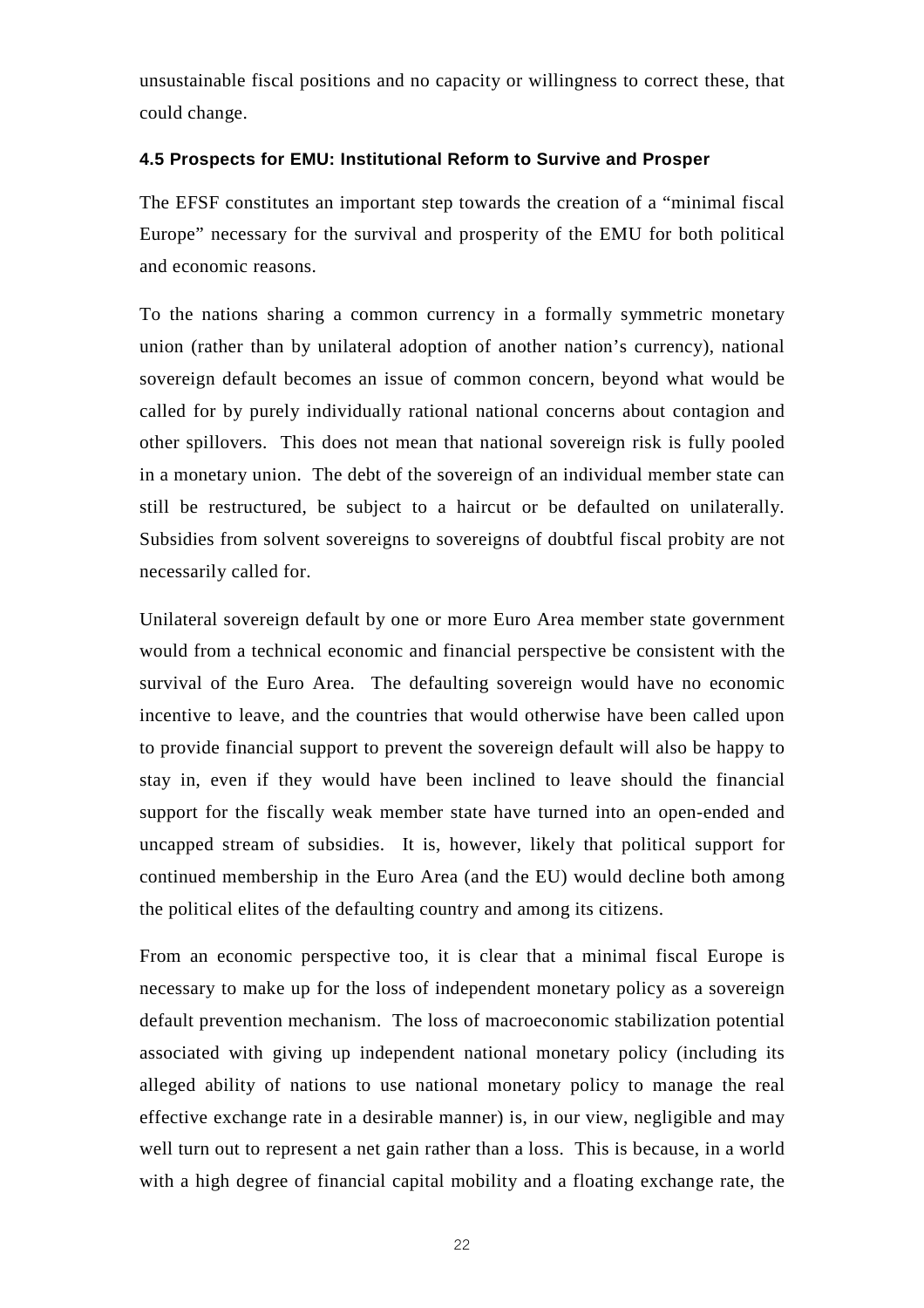unsustainable fiscal positions and no capacity or willingness to correct these, that could change.

#### **4.5 Prospects for EMU: Institutional Reform to Survive and Prosper**

The EFSF constitutes an important step towards the creation of a "minimal fiscal Europe" necessary for the survival and prosperity of the EMU for both political and economic reasons.

To the nations sharing a common currency in a formally symmetric monetary union (rather than by unilateral adoption of another nation's currency), national sovereign default becomes an issue of common concern, beyond what would be called for by purely individually rational national concerns about contagion and other spillovers. This does not mean that national sovereign risk is fully pooled in a monetary union. The debt of the sovereign of an individual member state can still be restructured, be subject to a haircut or be defaulted on unilaterally. Subsidies from solvent sovereigns to sovereigns of doubtful fiscal probity are not necessarily called for.

Unilateral sovereign default by one or more Euro Area member state government would from a technical economic and financial perspective be consistent with the survival of the Euro Area. The defaulting sovereign would have no economic incentive to leave, and the countries that would otherwise have been called upon to provide financial support to prevent the sovereign default will also be happy to stay in, even if they would have been inclined to leave should the financial support for the fiscally weak member state have turned into an open-ended and uncapped stream of subsidies. It is, however, likely that political support for continued membership in the Euro Area (and the EU) would decline both among the political elites of the defaulting country and among its citizens.

From an economic perspective too, it is clear that a minimal fiscal Europe is necessary to make up for the loss of independent monetary policy as a sovereign default prevention mechanism. The loss of macroeconomic stabilization potential associated with giving up independent national monetary policy (including its alleged ability of nations to use national monetary policy to manage the real effective exchange rate in a desirable manner) is, in our view, negligible and may well turn out to represent a net gain rather than a loss. This is because, in a world with a high degree of financial capital mobility and a floating exchange rate, the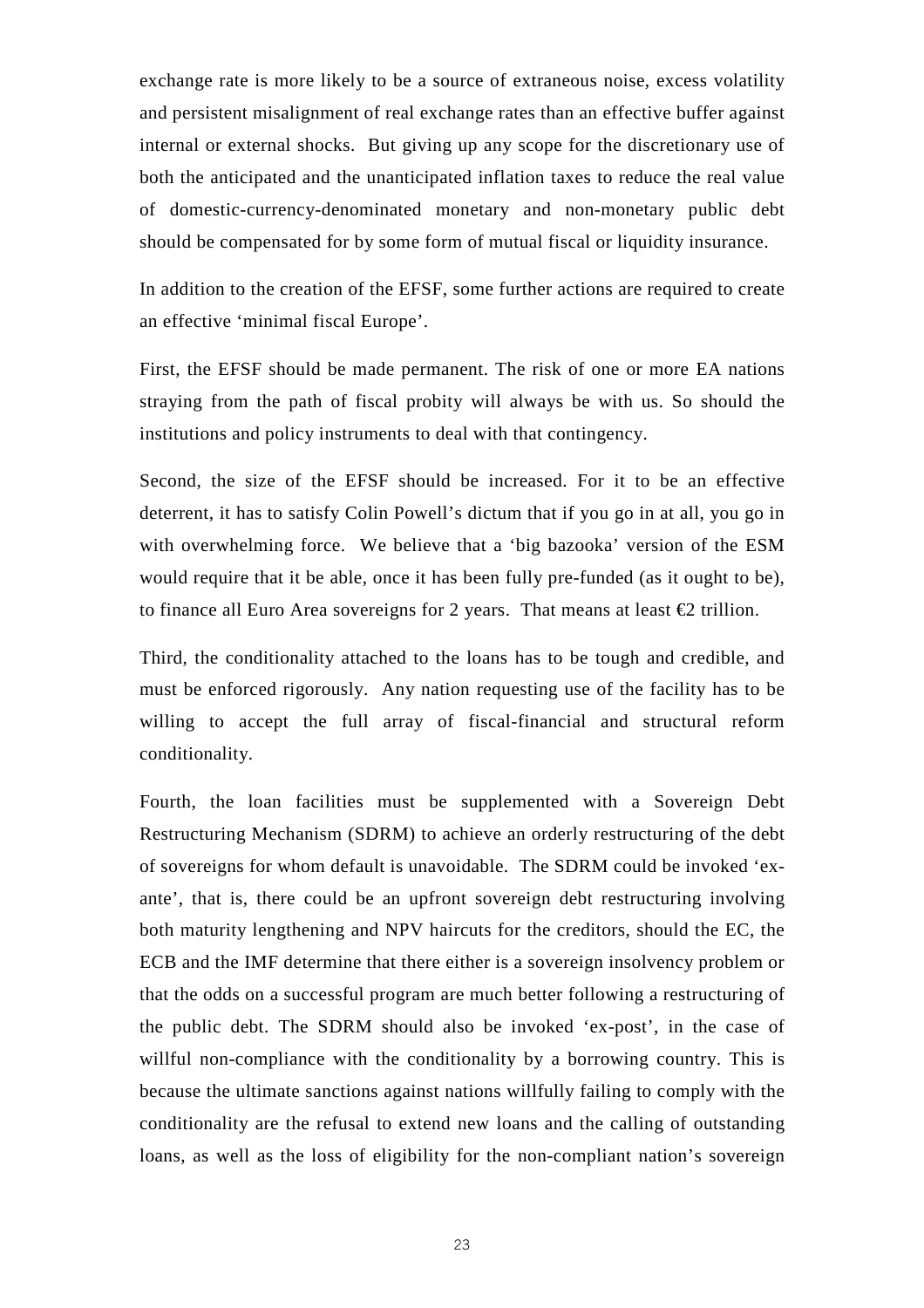exchange rate is more likely to be a source of extraneous noise, excess volatility and persistent misalignment of real exchange rates than an effective buffer against internal or external shocks. But giving up any scope for the discretionary use of both the anticipated and the unanticipated inflation taxes to reduce the real value of domestic-currency-denominated monetary and non-monetary public debt should be compensated for by some form of mutual fiscal or liquidity insurance.

In addition to the creation of the EFSF, some further actions are required to create an effective 'minimal fiscal Europe'.

First, the EFSF should be made permanent. The risk of one or more EA nations straying from the path of fiscal probity will always be with us. So should the institutions and policy instruments to deal with that contingency.

Second, the size of the EFSF should be increased. For it to be an effective deterrent, it has to satisfy Colin Powell's dictum that if you go in at all, you go in with overwhelming force. We believe that a 'big bazooka' version of the ESM would require that it be able, once it has been fully pre-funded (as it ought to be), to finance all Euro Area sovereigns for 2 years. That means at least  $\epsilon$ 2 trillion.

Third, the conditionality attached to the loans has to be tough and credible, and must be enforced rigorously. Any nation requesting use of the facility has to be willing to accept the full array of fiscal-financial and structural reform conditionality.

Fourth, the loan facilities must be supplemented with a Sovereign Debt Restructuring Mechanism (SDRM) to achieve an orderly restructuring of the debt of sovereigns for whom default is unavoidable. The SDRM could be invoked 'exante', that is, there could be an upfront sovereign debt restructuring involving both maturity lengthening and NPV haircuts for the creditors, should the EC, the ECB and the IMF determine that there either is a sovereign insolvency problem or that the odds on a successful program are much better following a restructuring of the public debt. The SDRM should also be invoked 'ex-post', in the case of willful non-compliance with the conditionality by a borrowing country. This is because the ultimate sanctions against nations willfully failing to comply with the conditionality are the refusal to extend new loans and the calling of outstanding loans, as well as the loss of eligibility for the non-compliant nation's sovereign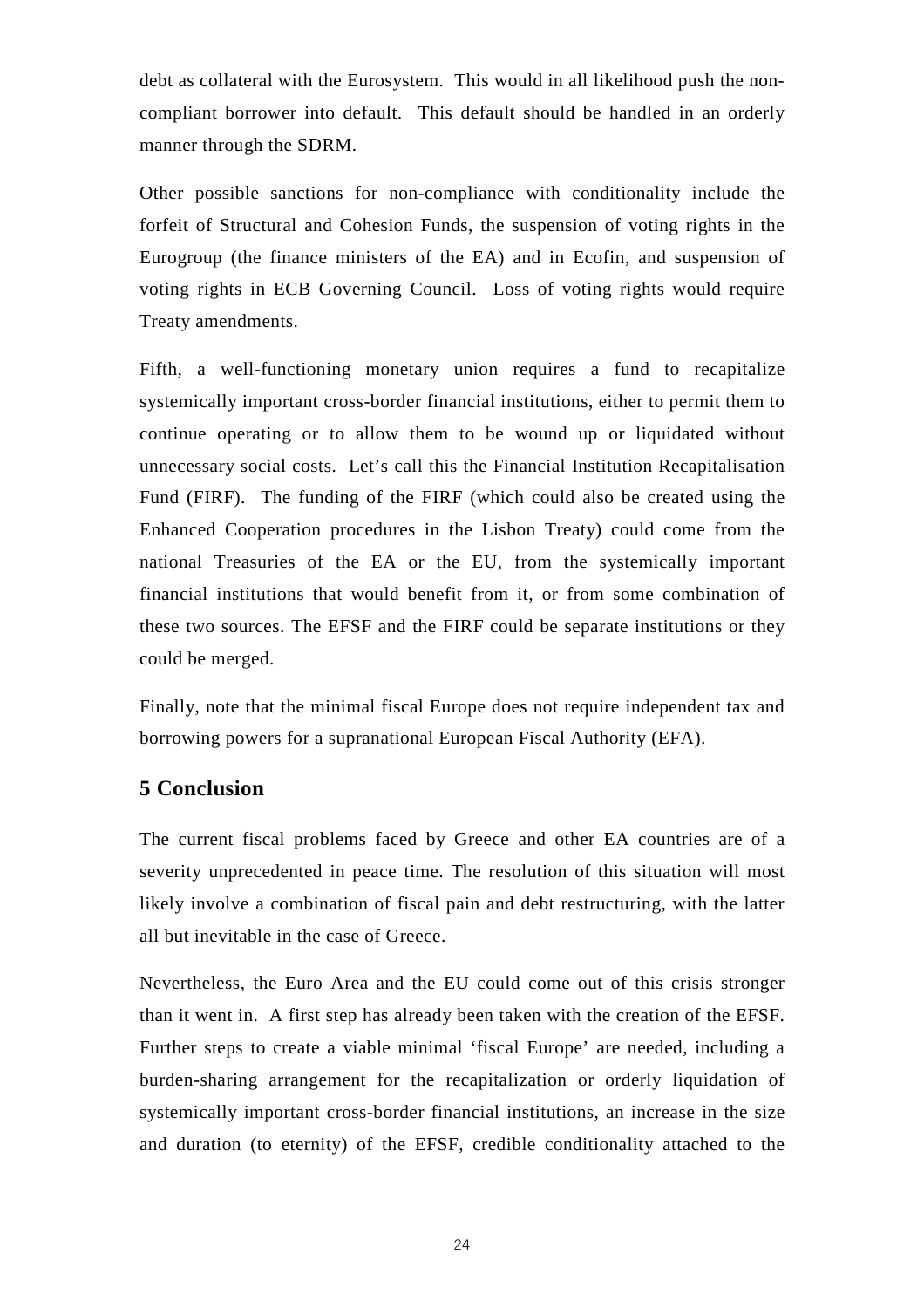debt as collateral with the Eurosystem. This would in all likelihood push the noncompliant borrower into default. This default should be handled in an orderly manner through the SDRM.

Other possible sanctions for non-compliance with conditionality include the forfeit of Structural and Cohesion Funds, the suspension of voting rights in the Eurogroup (the finance ministers of the EA) and in Ecofin, and suspension of voting rights in ECB Governing Council. Loss of voting rights would require Treaty amendments.

Fifth, a well-functioning monetary union requires a fund to recapitalize systemically important cross-border financial institutions, either to permit them to continue operating or to allow them to be wound up or liquidated without unnecessary social costs. Let's call this the Financial Institution Recapitalisation Fund (FIRF). The funding of the FIRF (which could also be created using the Enhanced Cooperation procedures in the Lisbon Treaty) could come from the national Treasuries of the EA or the EU, from the systemically important financial institutions that would benefit from it, or from some combination of these two sources. The EFSF and the FIRF could be separate institutions or they could be merged.

Finally, note that the minimal fiscal Europe does not require independent tax and borrowing powers for a supranational European Fiscal Authority (EFA).

## **5 Conclusion**

The current fiscal problems faced by Greece and other EA countries are of a severity unprecedented in peace time. The resolution of this situation will most likely involve a combination of fiscal pain and debt restructuring, with the latter all but inevitable in the case of Greece.

Nevertheless, the Euro Area and the EU could come out of this crisis stronger than it went in. A first step has already been taken with the creation of the EFSF. Further steps to create a viable minimal 'fiscal Europe' are needed, including a burden-sharing arrangement for the recapitalization or orderly liquidation of systemically important cross-border financial institutions, an increase in the size and duration (to eternity) of the EFSF, credible conditionality attached to the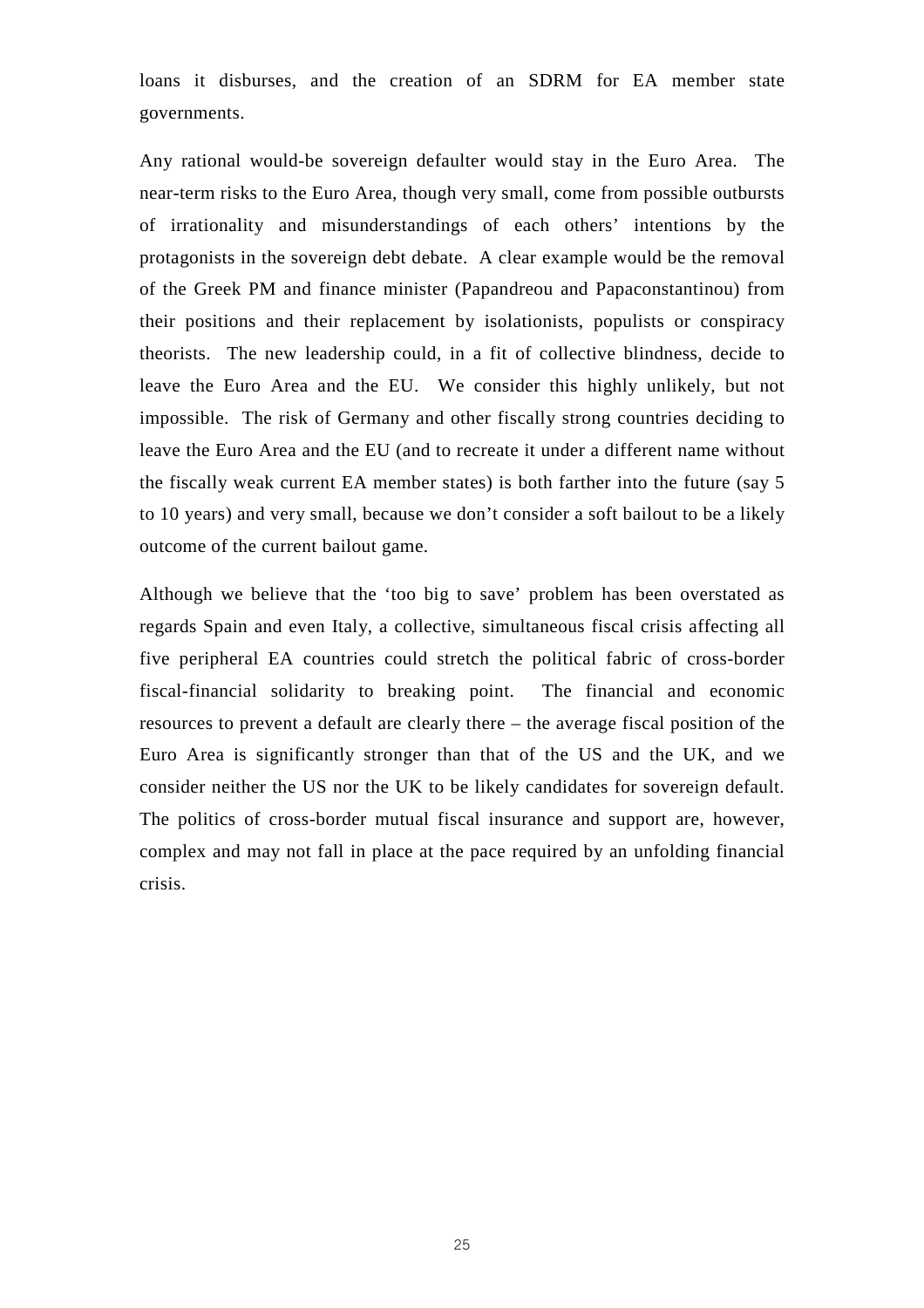loans it disburses, and the creation of an SDRM for EA member state governments.

Any rational would-be sovereign defaulter would stay in the Euro Area. The near-term risks to the Euro Area, though very small, come from possible outbursts of irrationality and misunderstandings of each others' intentions by the protagonists in the sovereign debt debate. A clear example would be the removal of the Greek PM and finance minister (Papandreou and Papaconstantinou) from their positions and their replacement by isolationists, populists or conspiracy theorists. The new leadership could, in a fit of collective blindness, decide to leave the Euro Area and the EU. We consider this highly unlikely, but not impossible. The risk of Germany and other fiscally strong countries deciding to leave the Euro Area and the EU (and to recreate it under a different name without the fiscally weak current EA member states) is both farther into the future (say 5 to 10 years) and very small, because we don't consider a soft bailout to be a likely outcome of the current bailout game.

Although we believe that the 'too big to save' problem has been overstated as regards Spain and even Italy, a collective, simultaneous fiscal crisis affecting all five peripheral EA countries could stretch the political fabric of cross-border fiscal-financial solidarity to breaking point. The financial and economic resources to prevent a default are clearly there – the average fiscal position of the Euro Area is significantly stronger than that of the US and the UK, and we consider neither the US nor the UK to be likely candidates for sovereign default. The politics of cross-border mutual fiscal insurance and support are, however, complex and may not fall in place at the pace required by an unfolding financial crisis.

25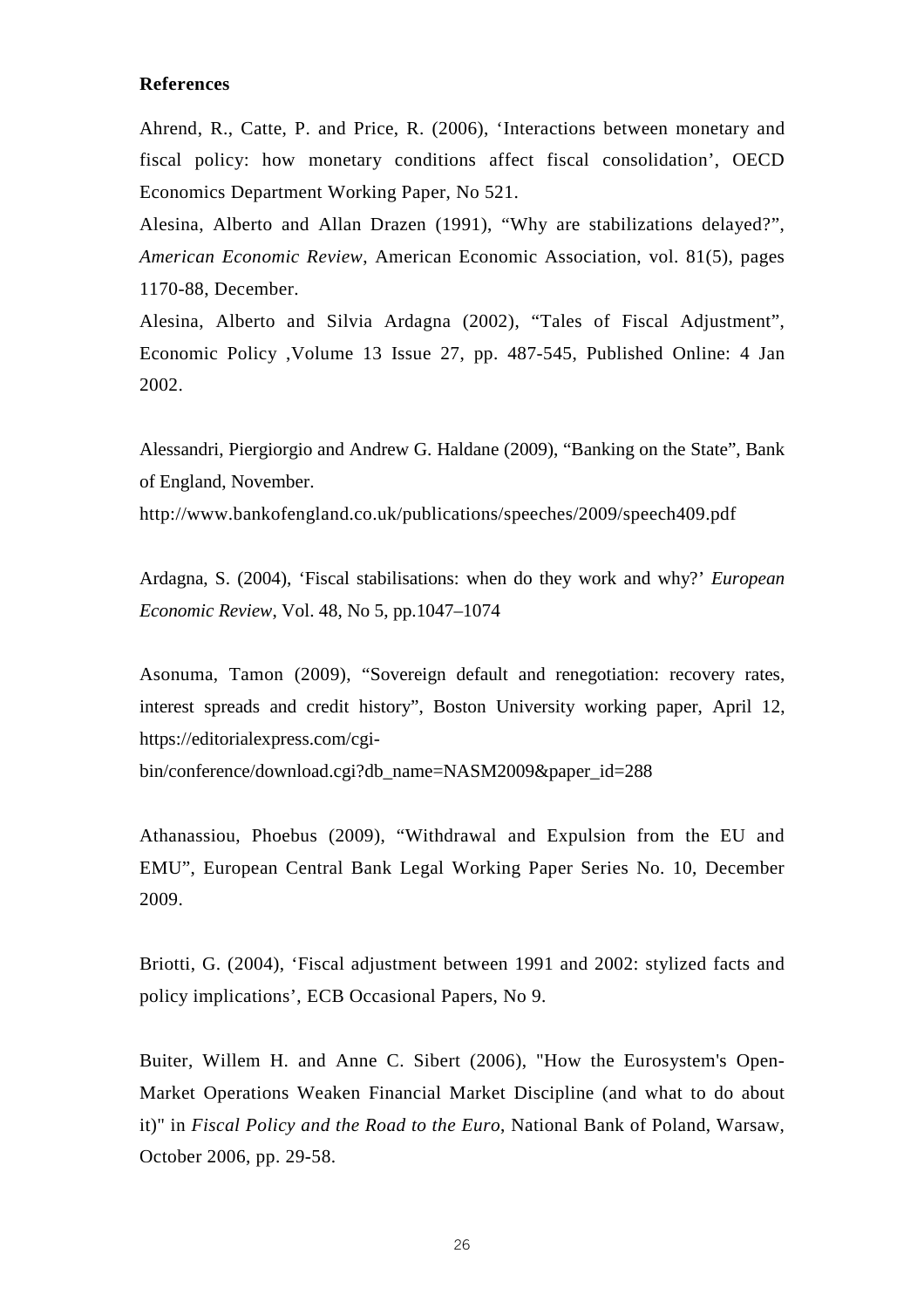#### **References**

Ahrend, R., Catte, P. and Price, R. (2006), 'Interactions between monetary and fiscal policy: how monetary conditions affect fiscal consolidation', OECD Economics Department Working Paper, No 521.

Alesina, Alberto and Allan Drazen (1991), "Why are stabilizations delayed?", *American Economic Review*, American Economic Association, vol. 81(5), pages 1170-88, December.

Alesina, Alberto and Silvia Ardagna (2002), "Tales of Fiscal Adjustment", Economic Policy ,Volume 13 Issue 27, pp. 487-545, Published Online: 4 Jan 2002.

Alessandri, Piergiorgio and Andrew G. Haldane (2009), "Banking on the State", Bank of England, November.

http://www.bankofengland.co.uk/publications/speeches/2009/speech409.pdf

Ardagna, S. (2004), 'Fiscal stabilisations: when do they work and why?' *European Economic Review*, Vol. 48, No 5, pp.1047–1074

Asonuma, Tamon (2009), "Sovereign default and renegotiation: recovery rates, interest spreads and credit history", Boston University working paper, April 12, https://editorialexpress.com/cgi-

bin/conference/download.cgi?db\_name=NASM2009&paper\_id=288

Athanassiou, Phoebus (2009), "Withdrawal and Expulsion from the EU and EMU", European Central Bank Legal Working Paper Series No. 10, December 2009.

Briotti, G. (2004), 'Fiscal adjustment between 1991 and 2002: stylized facts and policy implications', ECB Occasional Papers, No 9.

Buiter, Willem H. and Anne C. Sibert (2006), "How the Eurosystem's Open-Market Operations Weaken Financial Market Discipline (and what to do about it)" in *Fiscal Policy and the Road to the Euro*, National Bank of Poland, Warsaw, October 2006, pp. 29-58.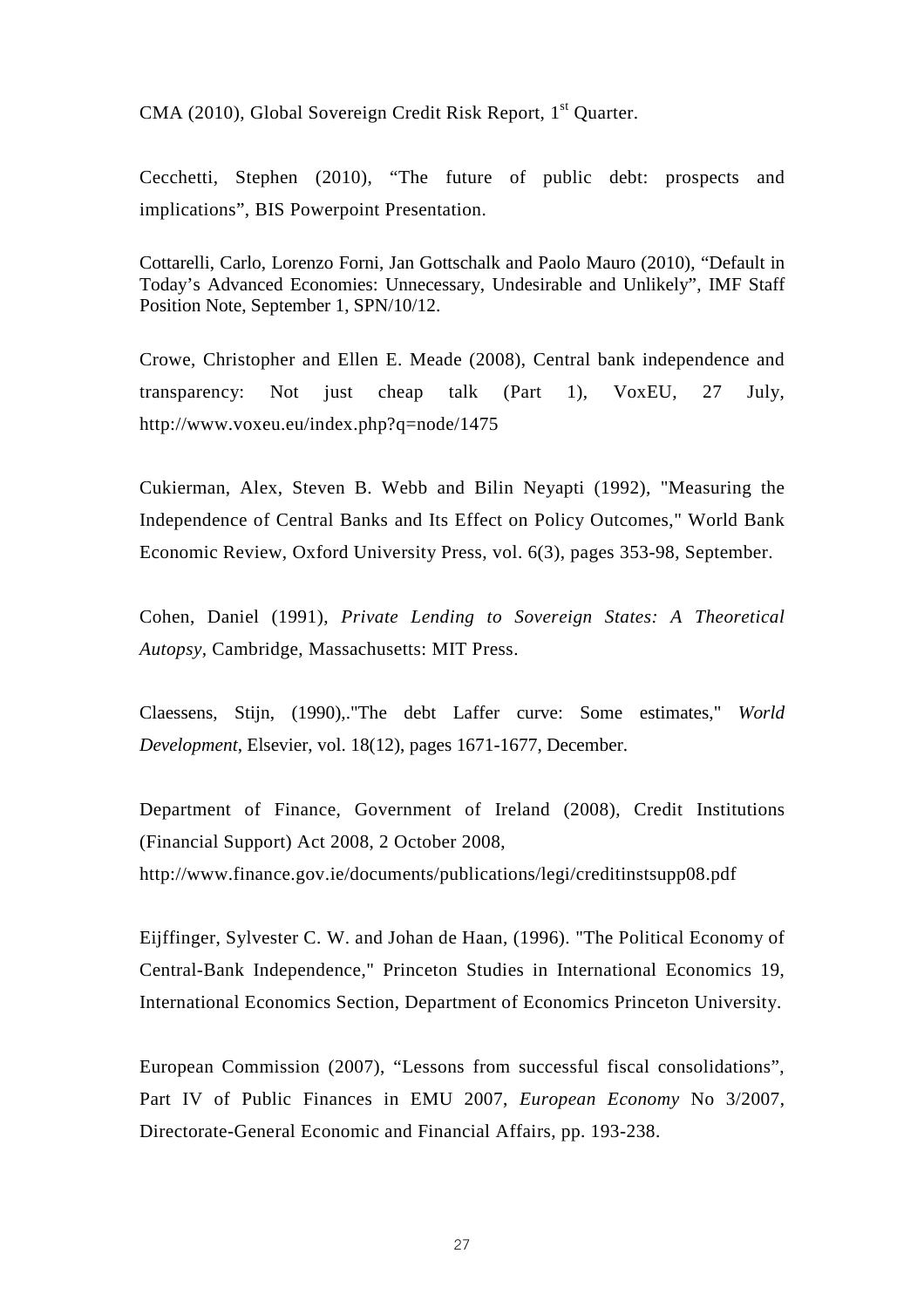CMA (2010), Global Sovereign Credit Risk Report, 1<sup>st</sup> Quarter.

Cecchetti, Stephen (2010), "The future of public debt: prospects and implications", BIS Powerpoint Presentation.

Cottarelli, Carlo, Lorenzo Forni, Jan Gottschalk and Paolo Mauro (2010), "Default in Today's Advanced Economies: Unnecessary, Undesirable and Unlikely", IMF Staff Position Note, September 1, SPN/10/12.

Crowe, Christopher and Ellen E. Meade (2008), Central bank independence and transparency: Not just cheap talk (Part 1), VoxEU, 27 July, http://www.voxeu.eu/index.php?q=node/1475

Cukierman, Alex, Steven B. Webb and Bilin Neyapti (1992), "Measuring the Independence of Central Banks and Its Effect on Policy Outcomes," World Bank Economic Review, Oxford University Press, vol. 6(3), pages 353-98, September.

Cohen, Daniel (1991), *Private Lending to Sovereign States: A Theoretical Autopsy,* Cambridge, Massachusetts: MIT Press.

Claessens, Stijn, (1990),."The debt Laffer curve: Some estimates," *World Development*, Elsevier, vol. 18(12), pages 1671-1677, December.

Department of Finance, Government of Ireland (2008), Credit Institutions (Financial Support) Act 2008, 2 October 2008, http://www.finance.gov.ie/documents/publications/legi/creditinstsupp08.pdf

Eijffinger, Sylvester C. W. and Johan de Haan, (1996). "The Political Economy of Central-Bank Independence," Princeton Studies in International Economics 19, International Economics Section, Department of Economics Princeton University.

European Commission (2007), "Lessons from successful fiscal consolidations", Part IV of Public Finances in EMU 2007, *European Economy* No 3/2007, Directorate-General Economic and Financial Affairs, pp. 193-238.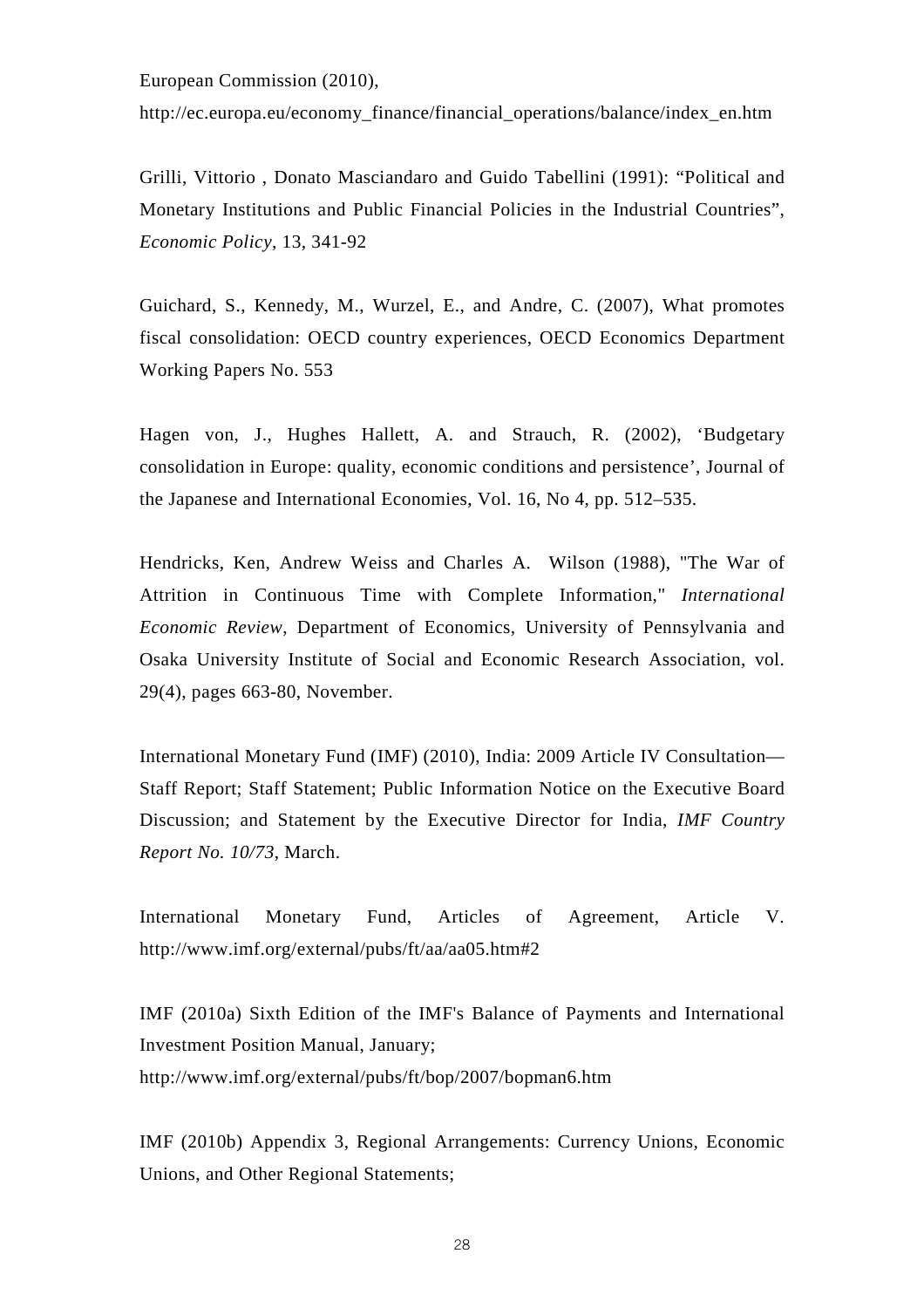European Commission (2010),

http://ec.europa.eu/economy\_finance/financial\_operations/balance/index\_en.htm

Grilli, Vittorio , Donato Masciandaro and Guido Tabellini (1991): "Political and Monetary Institutions and Public Financial Policies in the Industrial Countries", *Economic Policy*, 13, 341-92

Guichard, S., Kennedy, M., Wurzel, E., and Andre, C. (2007), What promotes fiscal consolidation: OECD country experiences, OECD Economics Department Working Papers No. 553

Hagen von, J., Hughes Hallett, A. and Strauch, R. (2002), 'Budgetary consolidation in Europe: quality, economic conditions and persistence', Journal of the Japanese and International Economies, Vol. 16, No 4, pp. 512–535.

Hendricks, Ken, Andrew Weiss and Charles A. Wilson (1988), "The War of Attrition in Continuous Time with Complete Information," *International Economic Review*, Department of Economics, University of Pennsylvania and Osaka University Institute of Social and Economic Research Association, vol. 29(4), pages 663-80, November.

International Monetary Fund (IMF) (2010), India: 2009 Article IV Consultation— Staff Report; Staff Statement; Public Information Notice on the Executive Board Discussion; and Statement by the Executive Director for India, *IMF Country Report No. 10/73*, March.

International Monetary Fund, Articles of Agreement, Article V. http://www.imf.org/external/pubs/ft/aa/aa05.htm#2

IMF (2010a) Sixth Edition of the IMF's Balance of Payments and International Investment Position Manual, January; http://www.imf.org/external/pubs/ft/bop/2007/bopman6.htm

IMF (2010b) Appendix 3, Regional Arrangements: Currency Unions, Economic Unions, and Other Regional Statements;